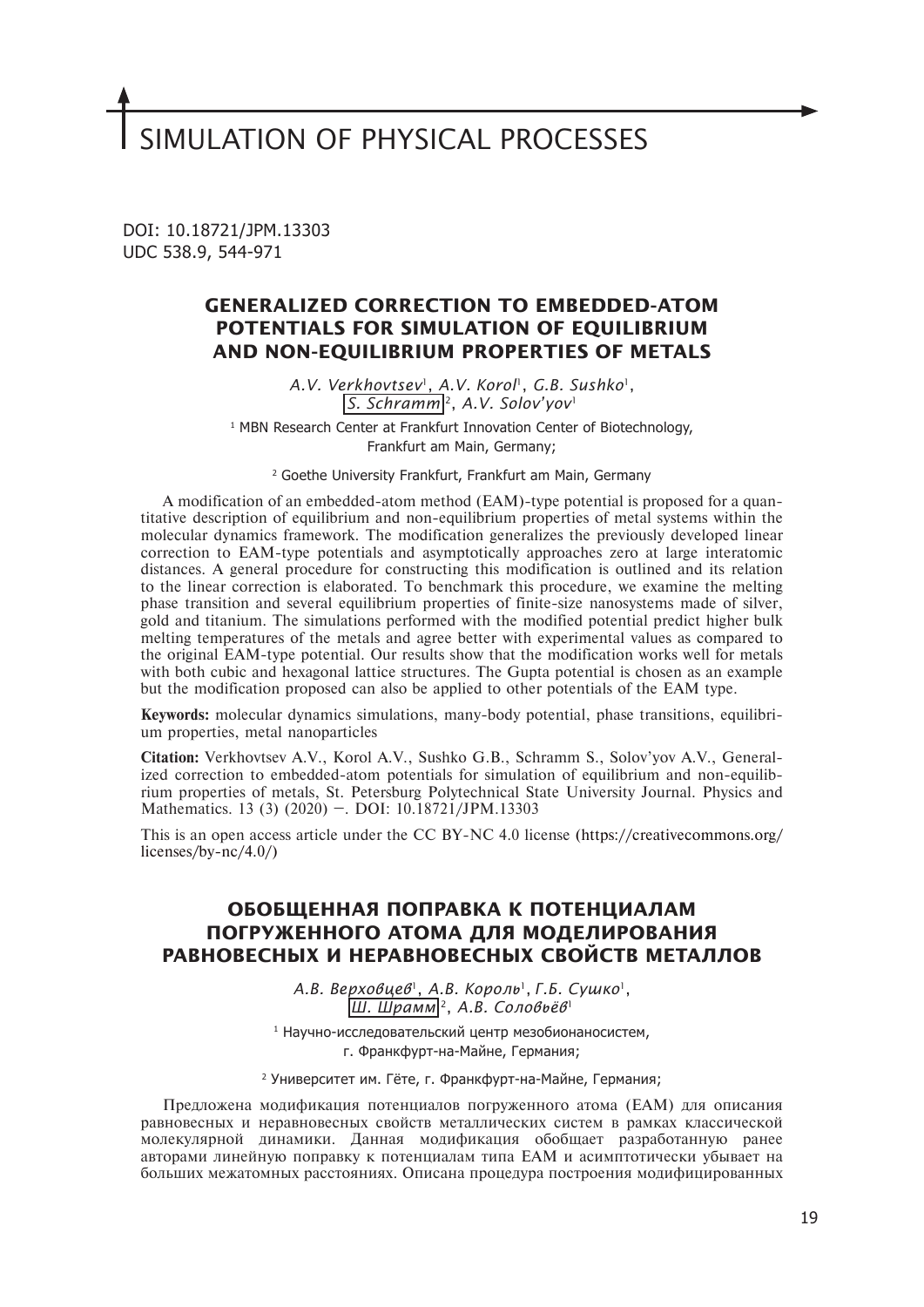# SIMULATION OF PHYSICAL PROCESSES

DOI: 10.18721/JPM.13303 UDC 538.9, 544-971

# **GENERALIZED CORRECTION TO EMBEDDED-ATOM POTENTIALS FOR SIMULATION OF EQUILIBRIUM AND NON-EQUILIBRIUM PROPERTIES OF METALS**

*A.V. Verkhovtsev*1, *A.V. Korol*1, *G.B. Sushko*1, *S. Schramm* 2, *A.V. Solov'yov*<sup>1</sup>

1 MBN Research Center at Frankfurt Innovation Center of Biotechnology, Frankfurt am Main, Germany;

2 Goethe University Frankfurt, Frankfurt am Main, Germany

A modification of an embedded-atom method (EAM)-type potential is proposed for a quantitative description of equilibrium and non-equilibrium properties of metal systems within the molecular dynamics framework. The modification generalizes the previously developed linear correction to EAM-type potentials and asymptotically approaches zero at large interatomic distances. A general procedure for constructing this modification is outlined and its relation to the linear correction is elaborated. To benchmark this procedure, we examine the melting phase transition and several equilibrium properties of finite-size nanosystems made of silver, gold and titanium. The simulations performed with the modified potential predict higher bulk melting temperatures of the metals and agree better with experimental values as compared to the original EAM-type potential. Our results show that the modification works well for metals with both cubic and hexagonal lattice structures. The Gupta potential is chosen as an example but the modification proposed can also be applied to other potentials of the EAM type.

**Keywords:** molecular dynamics simulations, many-body potential, phase transitions, equilibrium properties, metal nanoparticles

**Citation:** Verkhovtsev A.V., Korol A.V., Sushko G.B., Schramm S., Solov'yov A.V., Generalized correction to embedded-atom potentials for simulation of equilibrium and non-equilibrium properties of metals, St. Petersburg Polytechnical State University Journal. Physics and Mathematics. 13 (3) (2020) –. DOI: 10.18721/JPM.13303

This is an open access article under the CC BY-NC 4.0 license (https://creativecommons.org/ licenses/by-nc/4.0/)

# **ОБОБЩЕННАЯ ПОПРАВКА К ПОТЕНЦИАЛАМ ПОГРУЖЕННОГО АТОМА ДЛЯ МОДЕЛИРОВАНИЯ РАВНОВЕСНЫХ И НЕРАВНОВЕСНЫХ СВОЙСТВ МЕТАЛЛОВ**

*А.В. Верховцев*1, *А.В. Король*1, *Г.Б. Сушко*1, *Ш. Шрамм* 2, *А.В. Соловьёв*<sup>1</sup>

1 Научно-исследовательский центр мезобионаносистем, г. Франкфурт-на-Майне, Германия;

<sup>2</sup> Университет им. Гёте, г. Франкфурт-на-Майне, Германия;

Предложена модификация потенциалов погруженного атома (EAM) для описания равновесных и неравновесных свойств металлических систем в рамках классической молекулярной динамики. Данная модификация обобщает разработанную ранее авторами линейную поправку к потенциалам типа EAM и асимптотически убывает на больших межатомных расстояниях. Описана процедура построения модифицированных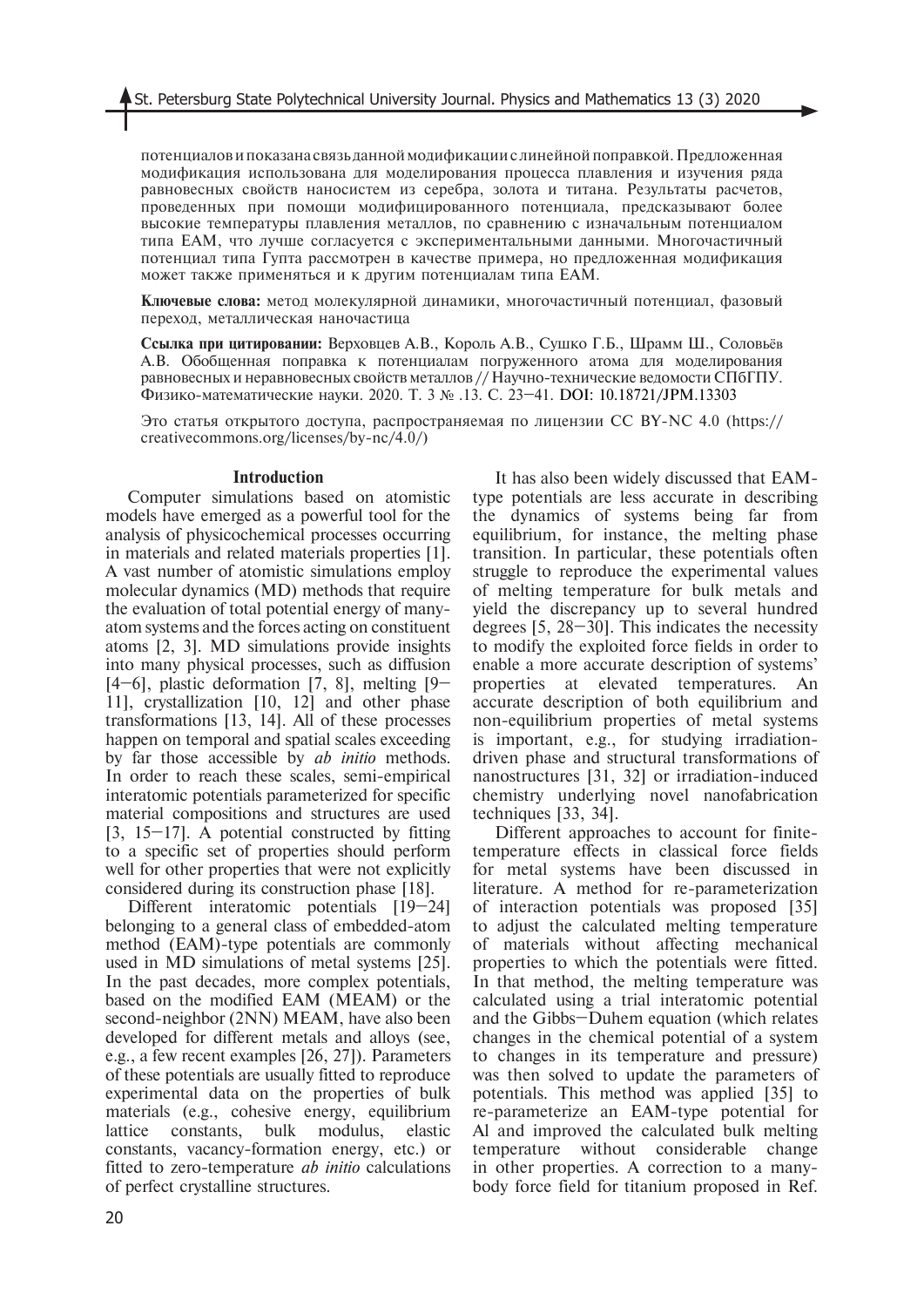потенциалов и показана связь данной модификации с линейной поправкой. Предложенная модификация использована для моделирования процесса плавления и изучения ряда равновесных свойств наносистем из серебра, золота и титана. Результаты расчетов, проведенных при помощи модифицированного потенциала, предсказывают более высокие температуры плавления металлов, по сравнению с изначальным потенциалом типа EAM, что лучше согласуется с экспериментальными данными. Многочастичный потенциал типа Гупта рассмотрен в качестве примера, но предложенная модификация может также применяться и к другим потенциалам типа EAM.

**Ключевые слова:** метод молекулярной динамики, многочастичный потенциал, фазовый переход, металлическая наночастица

**Ссылка при цитировании:** Верховцев А.В., Король А.В., Сушко Г.Б., Шрамм Ш., Соловьёв А.В. Обобщенная поправка к потенциалам погруженного атома для моделирования равновесных и неравновесных свойств металлов // Научно-технические ведомости СПбГПУ. Физико-математические науки. 2020. Т. 3 № .13. С. 23–41. DOI: 10.18721/JPM.13303

Это статья открытого доступа, распространяемая по лицензии CC BY-NC 4.0 (https:// creativecommons.org/licenses/by-nc/4.0/)

#### **Introduction**

Computer simulations based on atomistic models have emerged as a powerful tool for the analysis of physicochemical processes occurring in materials and related materials properties [1]. A vast number of atomistic simulations employ molecular dynamics (MD) methods that require the evaluation of total potential energy of manyatom systems and the forces acting on constituent atoms [2, 3]. MD simulations provide insights into many physical processes, such as diffusion  $[4–6]$ , plastic deformation  $[7, 8]$ , melting  $[9–1]$ 11], crystallization [10, 12] and other phase transformations [13, 14]. All of these processes happen on temporal and spatial scales exceeding by far those accessible by *ab initio* methods. In order to reach these scales, semi-empirical interatomic potentials parameterized for specific material compositions and structures are used  $[3, 15-17]$ . A potential constructed by fitting to a specific set of properties should perform well for other properties that were not explicitly considered during its construction phase [18].

Different interatomic potentials [19–24] belonging to a general class of embedded-atom method (EAM)-type potentials are commonly used in MD simulations of metal systems [25]. In the past decades, more complex potentials, based on the modified EAM (MEAM) or the second-neighbor (2NN) MEAM, have also been developed for different metals and alloys (see, e.g., a few recent examples [26, 27]). Parameters of these potentials are usually fitted to reproduce experimental data on the properties of bulk materials (e.g., cohesive energy, equilibrium lattice constants, bulk modulus, elastic constants, vacancy-formation energy, etc.) or fitted to zero-temperature *ab initio* calculations of perfect crystalline structures.

It has also been widely discussed that EAMtype potentials are less accurate in describing the dynamics of systems being far from equilibrium, for instance, the melting phase transition. In particular, these potentials often struggle to reproduce the experimental values of melting temperature for bulk metals and yield the discrepancy up to several hundred degrees [5, 28–30]. This indicates the necessity to modify the exploited force fields in order to enable a more accurate description of systems' properties at elevated temperatures. An accurate description of both equilibrium and non-equilibrium properties of metal systems is important, e.g., for studying irradiationdriven phase and structural transformations of nanostructures [31, 32] or irradiation-induced chemistry underlying novel nanofabrication techniques [33, 34].

Different approaches to account for finitetemperature effects in classical force fields for metal systems have been discussed in literature. A method for re-parameterization of interaction potentials was proposed [35] to adjust the calculated melting temperature of materials without affecting mechanical properties to which the potentials were fitted. In that method, the melting temperature was calculated using a trial interatomic potential and the Gibbs–Duhem equation (which relates changes in the chemical potential of a system to changes in its temperature and pressure) was then solved to update the parameters of potentials. This method was applied [35] to re-parameterize an EAM-type potential for Al and improved the calculated bulk melting temperature without considerable change in other properties. A correction to a manybody force field for titanium proposed in Ref.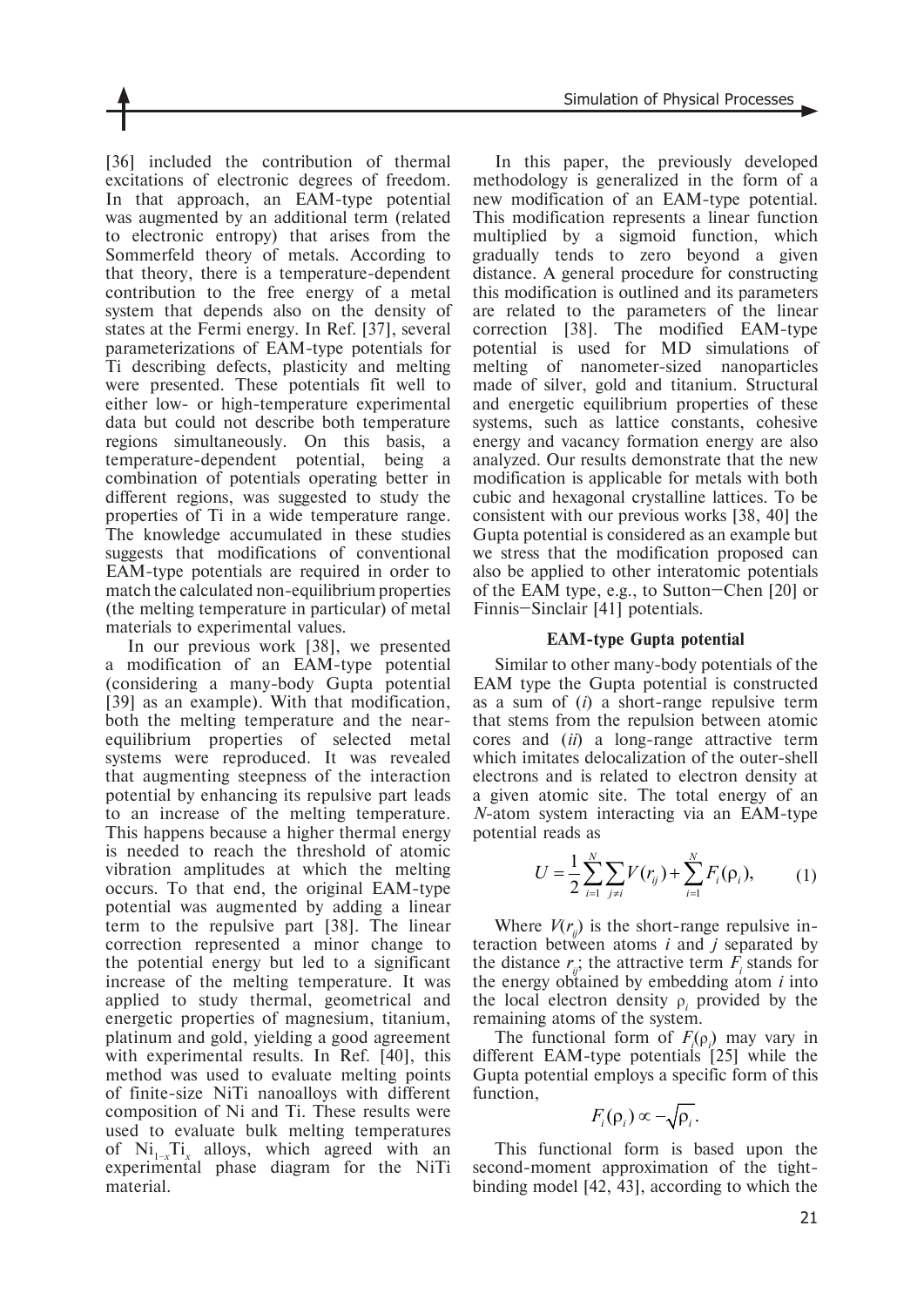[36] included the contribution of thermal excitations of electronic degrees of freedom. In that approach, an EAM-type potential was augmented by an additional term (related to electronic entropy) that arises from the Sommerfeld theory of metals. According to that theory, there is a temperature-dependent contribution to the free energy of a metal system that depends also on the density of states at the Fermi energy. In Ref. [37], several parameterizations of EAM-type potentials for Ti describing defects, plasticity and melting were presented. These potentials fit well to either low- or high-temperature experimental data but could not describe both temperature regions simultaneously. On this basis, a temperature-dependent potential, being a combination of potentials operating better in different regions, was suggested to study the properties of Ti in a wide temperature range. The knowledge accumulated in these studies suggests that modifications of conventional EAM-type potentials are required in order to match the calculated non-equilibrium properties (the melting temperature in particular) of metal materials to experimental values.

In our previous work [38], we presented a modification of an EAM-type potential (considering a many-body Gupta potential [39] as an example). With that modification, both the melting temperature and the nearequilibrium properties of selected metal systems were reproduced. It was revealed that augmenting steepness of the interaction potential by enhancing its repulsive part leads to an increase of the melting temperature. This happens because a higher thermal energy is needed to reach the threshold of atomic vibration amplitudes at which the melting occurs. To that end, the original EAM-type potential was augmented by adding a linear term to the repulsive part [38]. The linear correction represented a minor change to the potential energy but led to a significant increase of the melting temperature. It was applied to study thermal, geometrical and energetic properties of magnesium, titanium, platinum and gold, yielding a good agreement with experimental results. In Ref. [40], this method was used to evaluate melting points of finite-size NiTi nanoalloys with different composition of Ni and Ti. These results were used to evaluate bulk melting temperatures of Ni<sub>1-*x*</sub>Ti<sub>x</sub> alloys, which agreed with an experimental phase diagram for the NiTi material.

In this paper, the previously developed methodology is generalized in the form of a new modification of an EAM-type potential. This modification represents a linear function multiplied by a sigmoid function, which gradually tends to zero beyond a given distance. A general procedure for constructing this modification is outlined and its parameters are related to the parameters of the linear correction [38]. The modified EAM-type potential is used for MD simulations of melting of nanometer-sized nanoparticles made of silver, gold and titanium. Structural and energetic equilibrium properties of these systems, such as lattice constants, cohesive energy and vacancy formation energy are also analyzed. Our results demonstrate that the new modification is applicable for metals with both cubic and hexagonal crystalline lattices. To be consistent with our previous works [38, 40] the Gupta potential is considered as an example but we stress that the modification proposed can also be applied to other interatomic potentials of the EAM type, e.g., to Sutton–Chen [20] or Finnis–Sinclair [41] potentials.

## **EAM-type Gupta potential**

Similar to other many-body potentials of the EAM type the Gupta potential is constructed as a sum of (*i*) a short-range repulsive term that stems from the repulsion between atomic cores and (*ii*) a long-range attractive term which imitates delocalization of the outer-shell electrons and is related to electron density at a given atomic site. The total energy of an *N*-atom system interacting via an EAM-type potential reads as

$$
U = \frac{1}{2} \sum_{i=1}^{N} \sum_{j \neq i} V(r_{ij}) + \sum_{i=1}^{N} F_i(\rho_i), \tag{1}
$$

Where  $V(r_{ii})$  is the short-range repulsive interaction between atoms *i* and *j* separated by the distance  $r_{ij}$ ; the attractive term  $F_i$  stands for the energy obtained by embedding atom *i* into the local electron density  $\rho_i$  provided by the remaining atoms of the system.

The functional form of  $F_i(\rho)$  may vary in different EAM-type potentials [25] while the Gupta potential employs a specific form of this function,

$$
F_i(\rho_i) \propto -\sqrt{\rho_i}.
$$

This functional form is based upon the second-moment approximation of the tightbinding model [42, 43], according to which the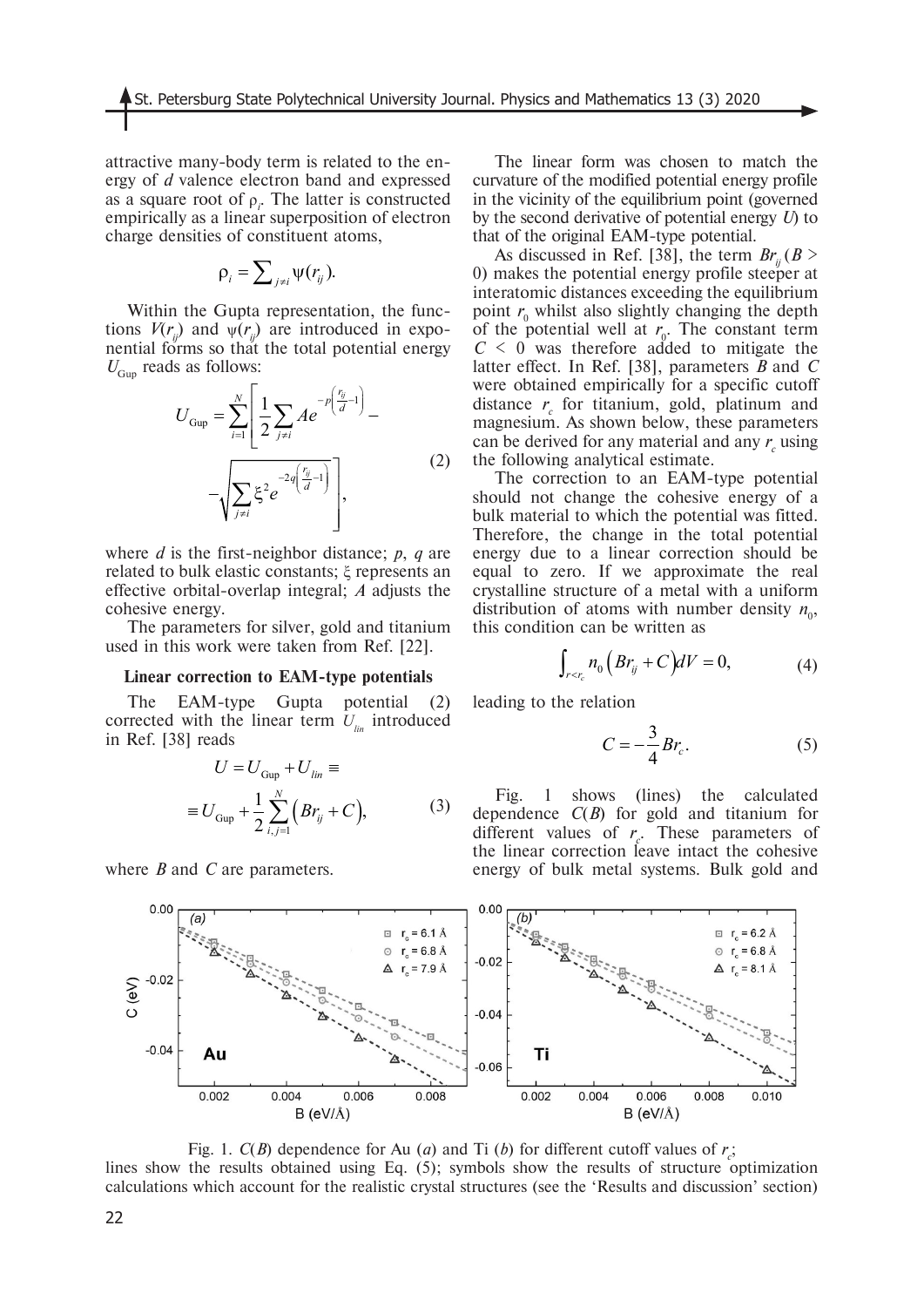attractive many-body term is related to the energy of *d* valence electron band and expressed as a square root of  $\rho_i$ . The latter is constructed empirically as a linear superposition of electron charge densities of constituent atoms,

$$
\rho_i = \sum_{j \neq i} \psi(r_{ij}).
$$

Within the Gupta representation, the functions  $V(r_i)$  and  $\psi(r_i)$  are introduced in exponential forms so that the total potential energy  $U_{Gun}$  reads as follows:

$$
U_{\text{Gup}} = \sum_{i=1}^{N} \left[ \frac{1}{2} \sum_{j \neq i} A e^{-p \left( \frac{r_{ij}}{d} - 1 \right)} - \sqrt{\sum_{j \neq i} \xi^2 e^{-2q \left( \frac{r_{ij}}{d} - 1 \right)}} \right],
$$
 (2)

where *d* is the first-neighbor distance; *p*, *q* are related to bulk elastic constants; ξ represents an effective orbital-overlap integral; *A* adjusts the cohesive energy.

The parameters for silver, gold and titanium used in this work were taken from Ref. [22].

#### **Linear correction to EAM-type potentials**

The EAM-type Gupta potential (2) corrected with the linear term  $U_{lin}$  introduced in Ref. [38] reads

$$
U = U_{Gup} + U_{lin} \equiv
$$
  

$$
\equiv U_{Gup} + \frac{1}{2} \sum_{i,j=1}^{N} (Br_{ij} + C),
$$
 (3)

where *B* and *C* are parameters.

The linear form was chosen to match the curvature of the modified potential energy profile in the vicinity of the equilibrium point (governed by the second derivative of potential energy *U*) to that of the original EAM-type potential.

As discussed in Ref. [38], the term  $Br_{ii}(B >$ 0) makes the potential energy profile steeper at interatomic distances exceeding the equilibrium point  $r_0$  whilst also slightly changing the depth of the potential well at  $r_0$ . The constant term  $C \leq 0$  was therefore added to mitigate the latter effect. In Ref. [38], parameters *B* and *C* were obtained empirically for a specific cutoff distance  $r_c$  for titanium, gold, platinum and magnesium. As shown below, these parameters can be derived for any material and any  $r_c$  using the following analytical estimate.

The correction to an EAM-type potential should not change the cohesive energy of a bulk material to which the potential was fitted. Therefore, the change in the total potential energy due to a linear correction should be equal to zero. If we approximate the real crystalline structure of a metal with a uniform distribution of atoms with number density  $n_0$ , this condition can be written as

$$
\int_{r < r_c} n_0 \left( B r_{ij} + C \right) dV = 0,\tag{4}
$$

leading to the relation

$$
C = -\frac{3}{4}Br_c.
$$
 (5)

Fig. 1 shows (lines) the calculated dependence 
$$
C(B)
$$
 for gold and italianum for different values of  $r_c$ . These parameters of the linear correction leave intact the cohesive energy of bulk metal systems. Bulk gold and



Fig. 1.  $C(B)$  dependence for Au (*a*) and Ti (*b*) for different cutoff values of  $r_c$ ; lines show the results obtained using Eq. (5); symbols show the results of structure optimization calculations which account for the realistic crystal structures (see the 'Results and discussion' section)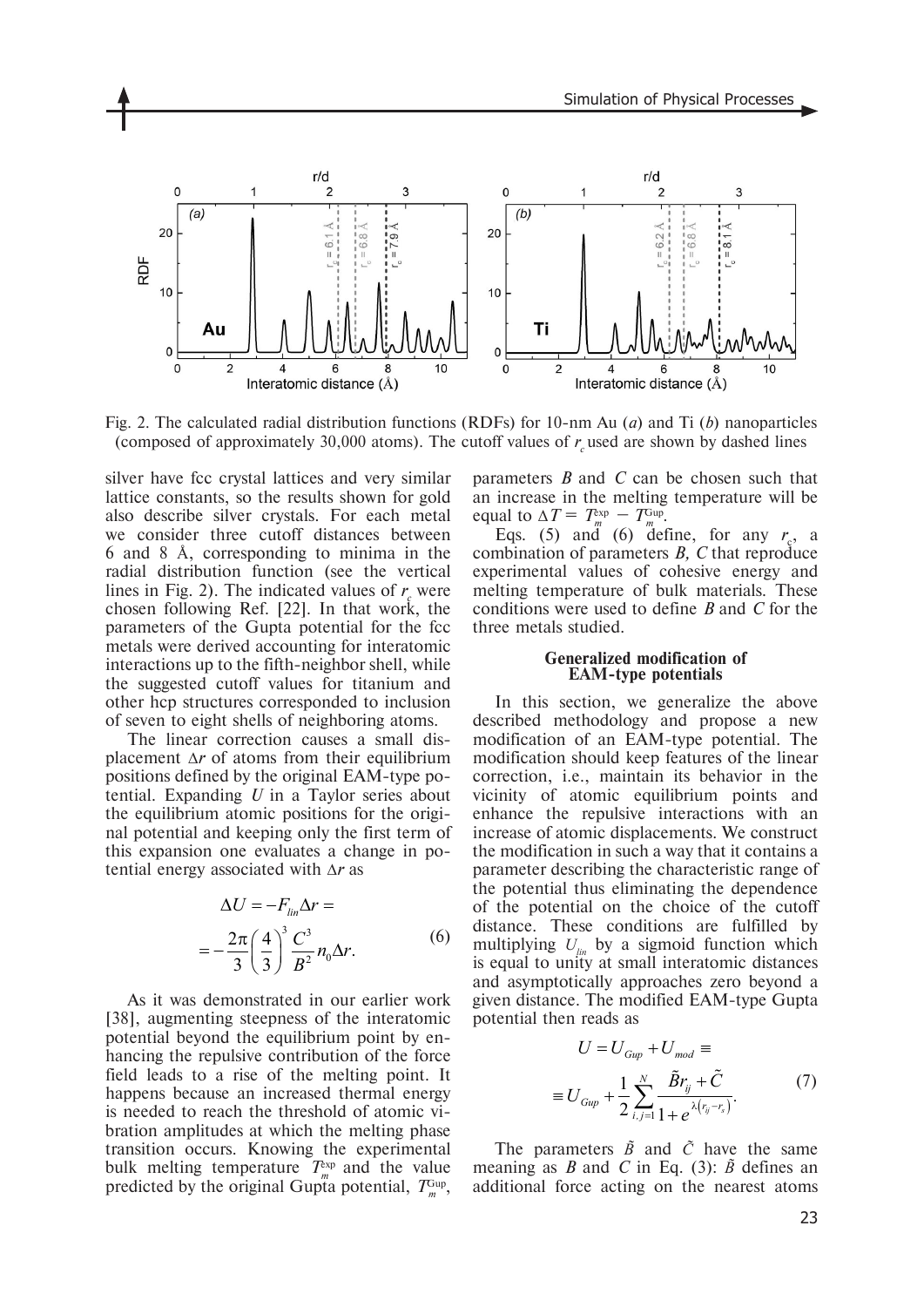

Fig. 2. The calculated radial distribution functions (RDFs) for 10-nm Au (*a*) and Ti (*b*) nanoparticles (composed of approximately 30,000 atoms). The cutoff values of  $r_c$  used are shown by dashed lines

silver have fcc crystal lattices and very similar lattice constants, so the results shown for gold also describe silver crystals. For each metal we consider three cutoff distances between 6 and 8 Å, corresponding to minima in the radial distribution function (see the vertical lines in Fig. 2). The indicated values of  $r<sub>g</sub>$  were chosen following Ref. [22]. In that work, the parameters of the Gupta potential for the fcc metals were derived accounting for interatomic interactions up to the fifth-neighbor shell, while the suggested cutoff values for titanium and other hcp structures corresponded to inclusion of seven to eight shells of neighboring atoms.

The linear correction causes a small displacement ∆*r* of atoms from their equilibrium positions defined by the original EAM-type potential. Expanding *U* in a Taylor series about the equilibrium atomic positions for the original potential and keeping only the first term of this expansion one evaluates a change in potential energy associated with ∆*r* as

$$
\Delta U = -F_{lin}\Delta r =
$$
  
= 
$$
-\frac{2\pi}{3}\left(\frac{4}{3}\right)^3 \frac{C^3}{B^2} n_0 \Delta r.
$$
 (6)

As it was demonstrated in our earlier work [38], augmenting steepness of the interatomic potential beyond the equilibrium point by enhancing the repulsive contribution of the force field leads to a rise of the melting point. It happens because an increased thermal energy is needed to reach the threshold of atomic vibration amplitudes at which the melting phase transition occurs. Knowing the experimental bulk melting temperature  $T_{m}^{\text{exp}}$  and the value predicted by the original Gupta potential,  $T_{m}^{\text{Gup}}$ ,

parameters *B* and *C* can be chosen such that an increase in the melting temperature will be equal to  $\Delta T = T_m^{\text{exp}} - T_m^{\text{Gup}}$ .

Eqs. (5) and (6) define, for any  $r_c$ , a combination of parameters *B, C* that reproduce experimental values of cohesive energy and melting temperature of bulk materials. These conditions were used to define *B* and *C* for the three metals studied.

#### **Generalized modification of EAM-type potentials**

In this section, we generalize the above described methodology and propose a new modification of an EAM-type potential. The modification should keep features of the linear correction, i.e., maintain its behavior in the vicinity of atomic equilibrium points and enhance the repulsive interactions with an increase of atomic displacements. We construct the modification in such a way that it contains a parameter describing the characteristic range of the potential thus eliminating the dependence of the potential on the choice of the cutoff distance. These conditions are fulfilled by multiplying  $U_{lin}$  by a sigmoid function which is equal to unity at small interatomic distances and asymptotically approaches zero beyond a given distance. The modified EAM-type Gupta potential then reads as

$$
U = U_{Gup} + U_{mod} \equiv
$$
  

$$
\equiv U_{Gup} + \frac{1}{2} \sum_{i,j=1}^{N} \frac{\tilde{B}r_{ij} + \tilde{C}}{1 + e^{\lambda(r_{ij} - r_s)}}.
$$
 (7)

The parameters  $\tilde{B}$  and  $\tilde{C}$  have the same meaning as *B* and *C* in Eq. (3):  $\tilde{B}$  defines an additional force acting on the nearest atoms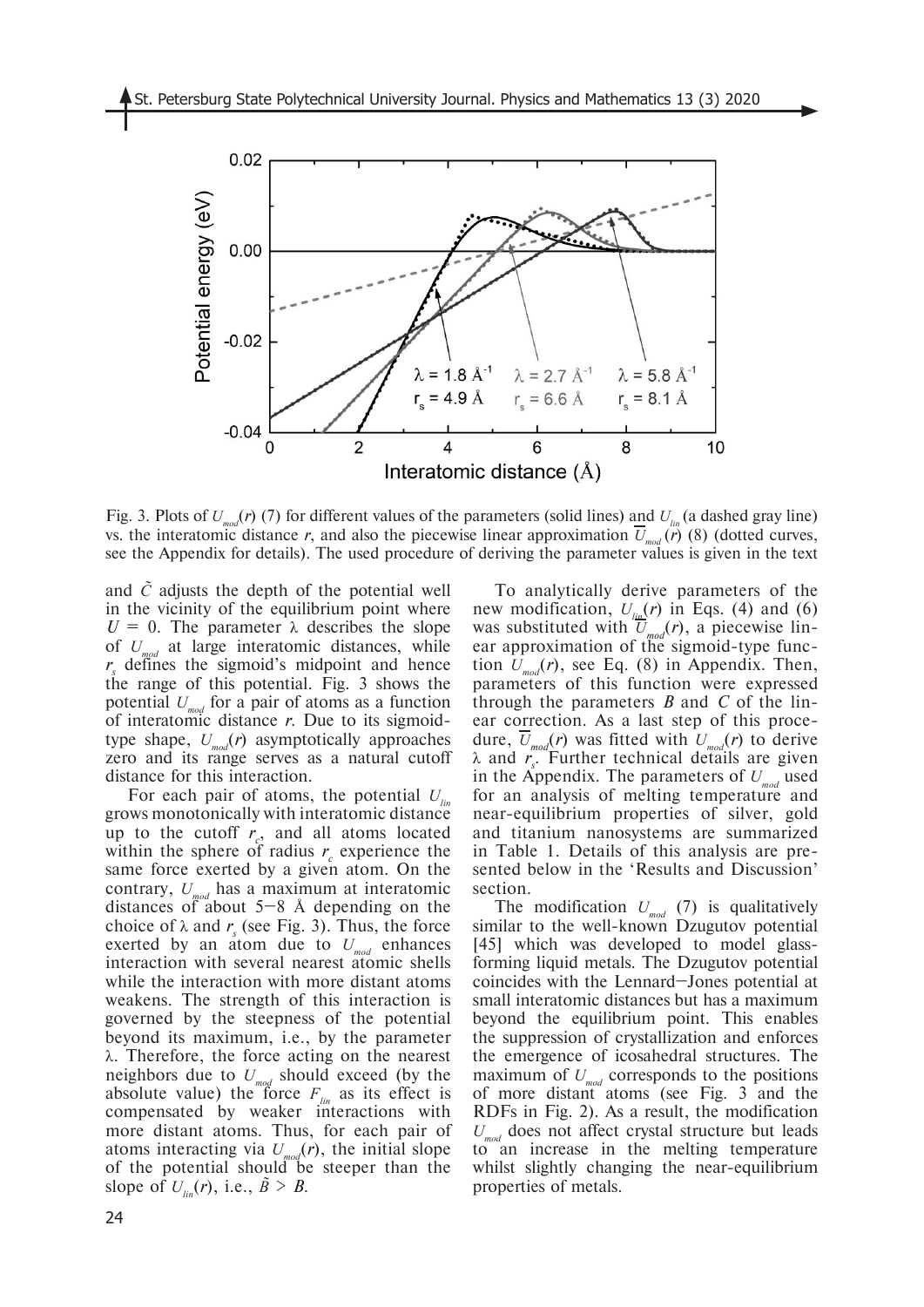

Fig. 3. Plots of  $U_{mod}(r)$  (7) for different values of the parameters (solid lines) and  $U_{lin}$  (a dashed gray line) vs. the interatomic distance *r*, and also the piecewise linear approximation  $\overline{U}_{mod}(\overline{r})$  (8) (dotted curves, see the Appendix for details). The used procedure of deriving the parameter values is given in the text

and *C̃* adjusts the depth of the potential well in the vicinity of the equilibrium point where  $U = 0$ . The parameter  $\lambda$  describes the slope of *Umod* at large interatomic distances, while r<sub>s</sub> defines the sigmoid's midpoint and hence the range of this potential. Fig. 3 shows the potential  $U_{mod}$  for a pair of atoms as a function of interatomic distance *r*. Due to its sigmoidtype shape,  $U_{mod}(r)$  asymptotically approaches zero and its range serves as a natural cutoff distance for this interaction.

For each pair of atoms, the potential  $U_{lin}$ grows monotonically with interatomic distance up to the cutoff  $r_c$ , and all atoms located within the sphere of radius  $r_c$  experience the same force exerted by a given atom. On the contrary, *Umod* has a maximum at interatomic distances of about  $5-8$  Å depending on the choice of  $\lambda$  and  $r_s$  (see Fig. 3). Thus, the force exerted by an atom due to  $U_{mod}$  enhances interaction with several nearest atomic shells while the interaction with more distant atoms weakens. The strength of this interaction is governed by the steepness of the potential beyond its maximum, i.e., by the parameter λ. Therefore, the force acting on the nearest neighbors due to  $U_{mod}$  should exceed (by the absolute value) the force  $F_{lin}$  as its effect is compensated by weaker interactions with more distant atoms. Thus, for each pair of atoms interacting via  $U_{mod}(r)$ , the initial slope of the potential should be steeper than the slope of  $U_{\text{lin}}(r)$ , i.e.,  $\tilde{B} > B$ .

To analytically derive parameters of the new modification,  $U_{\mu}(\mathbf{r})$  in Eqs. (4) and (6) was substituted with  $\overline{U}_{mod}(r)$ , a piecewise linear approximation of the sigmoid-type function  $U_{rad}(r)$ , see Eq. (8) in Appendix. Then, parameters of this function were expressed through the parameters *B* and *C* of the linear correction. As a last step of this procedure,  $U_{mod}(r)$  was fitted with  $U_{mod}(r)$  to derive λ and *r<sub>s</sub>*. Further technical details are given in the Appendix. The parameters of  $U_{mod}$  used for an analysis of melting temperature and near-equilibrium properties of silver, gold and titanium nanosystems are summarized in Table 1. Details of this analysis are presented below in the 'Results and Discussion' section.

The modification  $U_{mod}$  (7) is qualitatively similar to the well-known Dzugutov potential [45] which was developed to model glassforming liquid metals. The Dzugutov potential coincides with the Lennard–Jones potential at small interatomic distances but has a maximum beyond the equilibrium point. This enables the suppression of crystallization and enforces the emergence of icosahedral structures. The maximum of  $U_{mod}$  corresponds to the positions of more distant atoms (see Fig. 3 and the RDFs in Fig. 2). As a result, the modification *Umod* does not affect crystal structure but leads to an increase in the melting temperature whilst slightly changing the near-equilibrium properties of metals.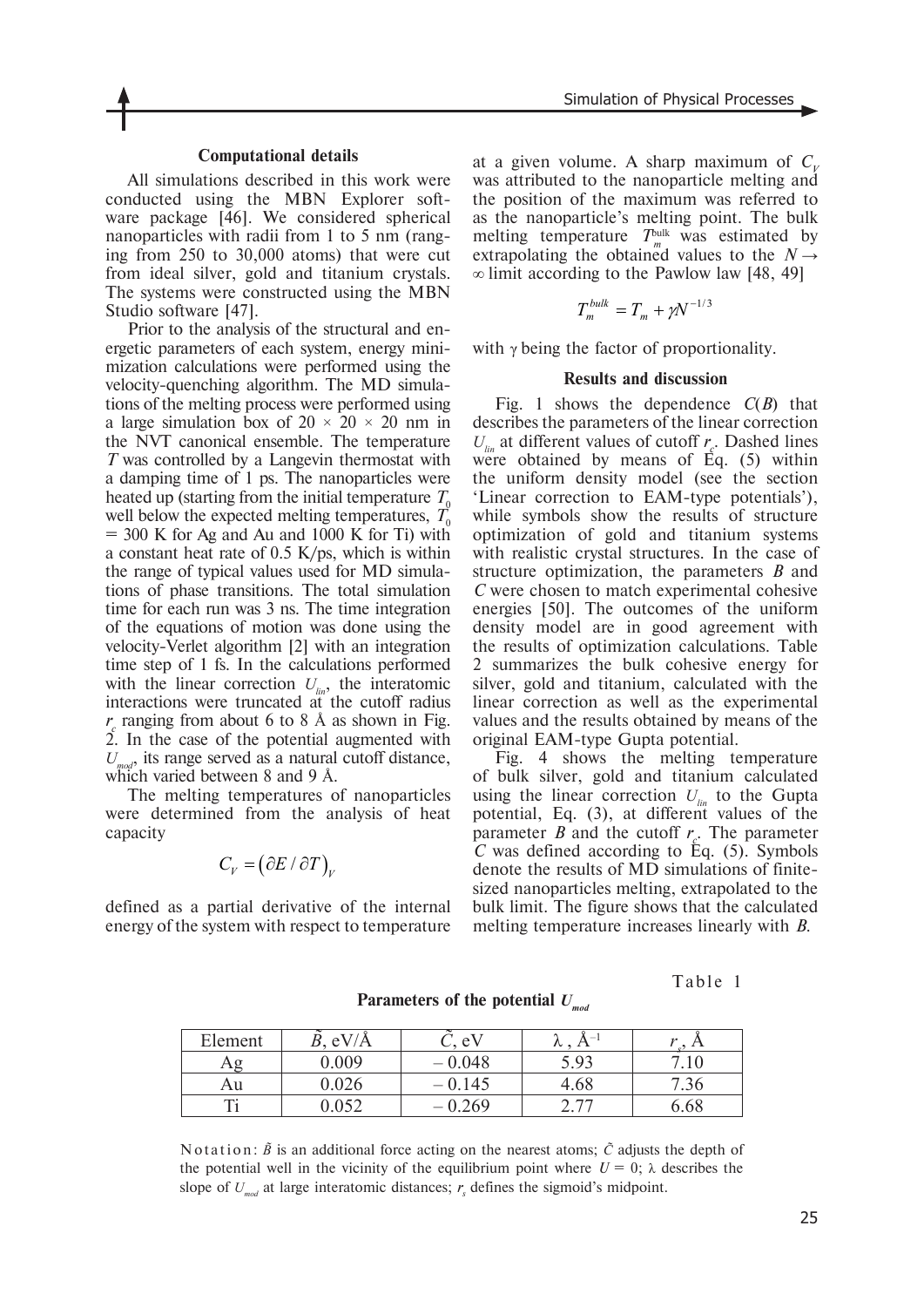#### **Computational details**

All simulations described in this work were conducted using the MBN Explorer software package [46]. We considered spherical nanoparticles with radii from 1 to 5 nm (ranging from 250 to 30,000 atoms) that were cut from ideal silver, gold and titanium crystals. The systems were constructed using the MBN Studio software [47].

Prior to the analysis of the structural and energetic parameters of each system, energy minimization calculations were performed using the velocity-quenching algorithm. The MD simulations of the melting process were performed using a large simulation box of  $20 \times 20 \times 20$  nm in the NVT canonical ensemble. The temperature *T* was controlled by a Langevin thermostat with a damping time of 1 ps. The nanoparticles were heated up (starting from the initial temperature  $T_0$ well below the expected melting temperatures,  $T_0$  $= 300$  K for Ag and Au and 1000 K for Ti) with a constant heat rate of 0.5 K/ps, which is within the range of typical values used for MD simulations of phase transitions. The total simulation time for each run was 3 ns. The time integration of the equations of motion was done using the velocity-Verlet algorithm [2] with an integration time step of 1 fs. In the calculations performed with the linear correction  $U_{i,j}$ , the interatomic interactions were truncated  $a\ddot{t}$  the cutoff radius  $r_c$  ranging from about 6 to 8 Å as shown in Fig.  $2.$  In the case of the potential augmented with  $U_{mod}$ , its range served as a natural cutoff distance, which varied between 8 and 9 Å.

The melting temperatures of nanoparticles were determined from the analysis of heat capacity

$$
C_V = \big(\partial E / \partial T\big)_V
$$

defined as a partial derivative of the internal energy of the system with respect to temperature at a given volume. A sharp maximum of  $C<sub>u</sub>$ was attributed to the nanoparticle melting and the position of the maximum was referred to as the nanoparticle's melting point. The bulk melting temperature  $T_m^{\text{bulk}}$  was estimated by extrapolating the obtained values to the  $N \rightarrow$ ∞ limit according to the Pawlow law [48, 49]

$$
T_m^{bulk} = T_m + \gamma N^{-1/3}
$$

with  $\gamma$  being the factor of proportionality.

#### **Results and discussion**

Fig. 1 shows the dependence *C*(*B*) that describes the parameters of the linear correction  $U_{lin}$  at different values of cutoff  $r_c$ . Dashed lines were obtained by means of  $\dot{Eq}$ . (5) within the uniform density model (see the section 'Linear correction to EAM-type potentials'), while symbols show the results of structure optimization of gold and titanium systems with realistic crystal structures. In the case of structure optimization, the parameters *B* and *C* were chosen to match experimental cohesive energies [50]. The outcomes of the uniform density model are in good agreement with the results of optimization calculations. Table 2 summarizes the bulk cohesive energy for silver, gold and titanium, calculated with the linear correction as well as the experimental values and the results obtained by means of the original EAM-type Gupta potential.

Fig. 4 shows the melting temperature of bulk silver, gold and titanium calculated using the linear correction  $U_{\text{lin}}$  to the Gupta potential, Eq. (3), at different values of the parameter *B* and the cutoff  $r_c$ . The parameter  $\overline{C}$  was defined according to Eq. (5). Symbols denote the results of MD simulations of finitesized nanoparticles melting, extrapolated to the bulk limit. The figure shows that the calculated melting temperature increases linearly with *B*.

Table 1 **Parameters of the potential** *Umod*

| Element | eV/A  | eV    | $\overline{\phantom{a}}$<br>୵ | $\overline{H}$ |
|---------|-------|-------|-------------------------------|----------------|
|         | 0.009 | 0.048 | Q <sub>2</sub>                |                |
| Au      |       | 0.145 | 4.68                          | $^{\prime}.50$ |
|         |       | .269  | ، ،                           | 6.68           |

N o t at i on:  $\tilde{B}$  is an additional force acting on the nearest atoms;  $\tilde{C}$  adjusts the depth of the potential well in the vicinity of the equilibrium point where  $U = 0$ ;  $\lambda$  describes the slope of  $U_{mod}$  at large interatomic distances;  $r_s$  defines the sigmoid's midpoint.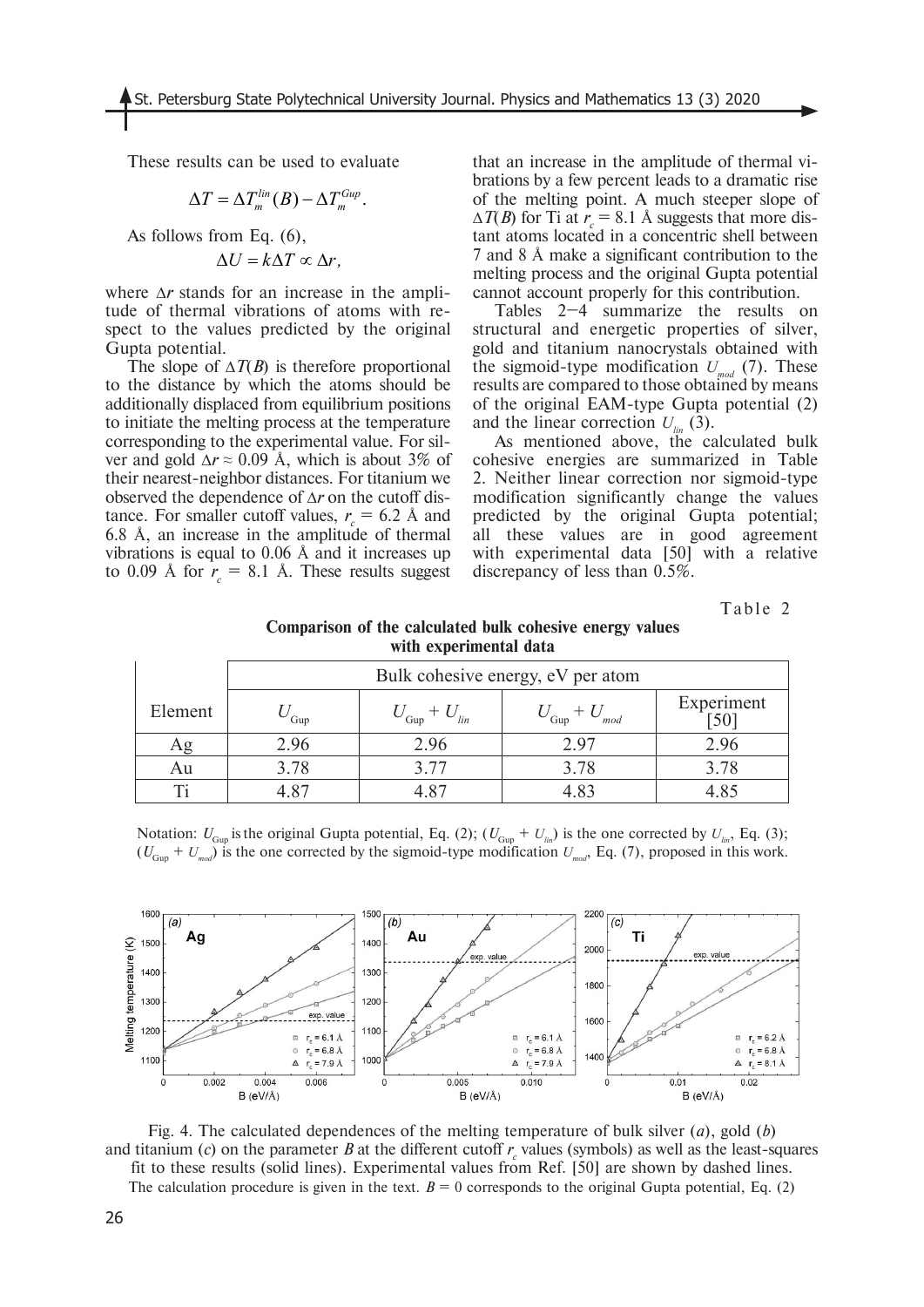These results can be used to evaluate

$$
\Delta T = \Delta T_m^{lin}(B) - \Delta T_m^{Gup}.
$$

As follows from Eq. (6),

$$
\Delta U = k \Delta T \propto \Delta r,
$$

where ∆*r* stands for an increase in the amplitude of thermal vibrations of atoms with respect to the values predicted by the original Gupta potential.

The slope of ∆*T*(*B*) is therefore proportional to the distance by which the atoms should be additionally displaced from equilibrium positions to initiate the melting process at the temperature corresponding to the experimental value. For silver and gold  $\Delta r \approx 0.09$  Å, which is about 3% of their nearest-neighbor distances. For titanium we observed the dependence of ∆*r* on the cutoff distance. For smaller cutoff values,  $r_c = 6.2$  Å and 6.8 Å, an increase in the amplitude of thermal vibrations is equal to 0.06 Å and it increases up to 0.09 Å for  $r_c = 8.1$  Å. These results suggest that an increase in the amplitude of thermal vibrations by a few percent leads to a dramatic rise of the melting point. A much steeper slope of  $\Delta T(B)$  for Ti at  $r_c = 8.1$  Å suggests that more distant atoms located in a concentric shell between 7 and 8 Å make a significant contribution to the melting process and the original Gupta potential cannot account properly for this contribution.

Tables 2–4 summarize the results on structural and energetic properties of silver, gold and titanium nanocrystals obtained with the sigmoid-type modification  $U_{rad}$  (7). These results are compared to those obtained by means of the original EAM-type Gupta potential (2) and the linear correction  $U_{\text{lin}}(3)$ .

As mentioned above, the calculated bulk cohesive energies are summarized in Table 2. Neither linear correction nor sigmoid-type modification significantly change the values predicted by the original Gupta potential; all these values are in good agreement with experimental data [50] with a relative discrepancy of less than 0.5%.

Table 2

| Comparison of the calculated bulk cohesive energy values |  |  |  |  |  |  |  |  |
|----------------------------------------------------------|--|--|--|--|--|--|--|--|
| with experimental data                                   |  |  |  |  |  |  |  |  |

|         | Bulk cohesive energy, eV per atom |                   |                                |            |  |  |
|---------|-----------------------------------|-------------------|--------------------------------|------------|--|--|
| Element | Gup                               | $\sim$ Gup<br>lin | $\sigma$ <sub>Gup</sub><br>mod | Experiment |  |  |
|         | 2.96                              | 2.96              | 2.97                           | 2.96       |  |  |
| Au      | 3.78                              | 3.77              | 3.78                           | 3.78       |  |  |
|         |                                   |                   |                                |            |  |  |

Notation:  $U_{G_{UD}}$  is the original Gupta potential, Eq. (2);  $(U_{G_{UD}} + U_{lin})$  is the one corrected by  $U_{lin}$ , Eq. (3);  $(U_{Gum} + U_{mod})$  is the one corrected by the sigmoid-type modification  $U_{mod}$ , Eq. (7), proposed in this work.

![](_page_7_Figure_14.jpeg)

Fig. 4. The calculated dependences of the melting temperature of bulk silver (*a*), gold (*b*) and titanium (*c*) on the parameter *B* at the different cutoff  $r_c$  values (symbols) as well as the least-squares fit to these results (solid lines). Experimental values from Ref. [50] are shown by dashed lines. The calculation procedure is given in the text.  $B = 0$  corresponds to the original Gupta potential, Eq. (2)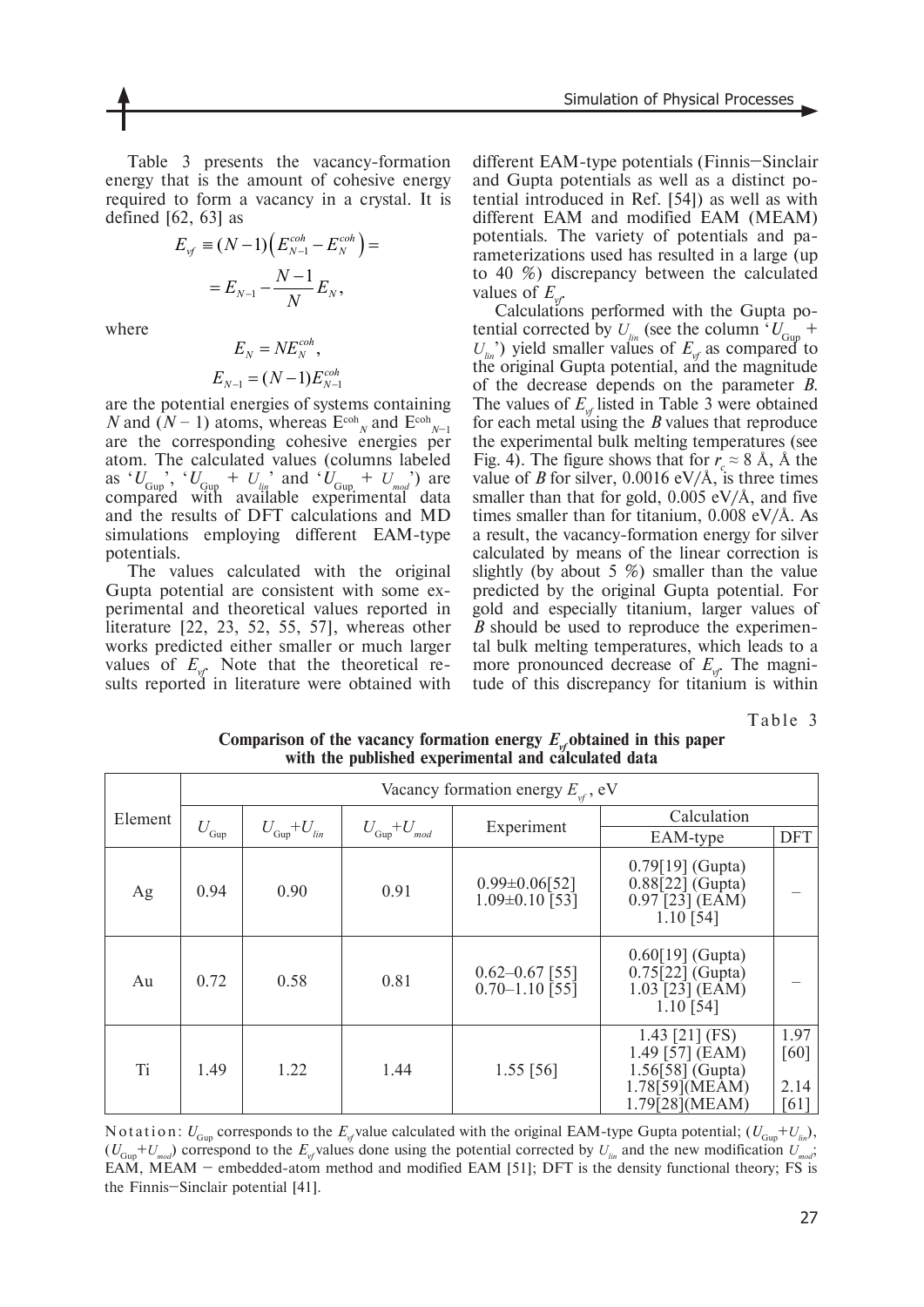Table 3 presents the vacancy-formation energy that is the amount of cohesive energy required to form a vacancy in a crystal. It is defined [62, 63] as

$$
E_{\nu f} \equiv (N-1) \Big( E_{N-1}^{coh} - E_N^{coh} \Big) =
$$
  
=  $E_{N-1} - \frac{N-1}{N} E_N$ ,

where

$$
E_N = N E_N^{coh},
$$
  

$$
E_{N-1} = (N-1) E_{N-1}^{coh}
$$

are the potential energies of systems containing *N* and  $(N-1)$  atoms, whereas  $E^{coh}{}_{N}$  and  $E^{coh}{}_{N-1}$  are the corresponding cohesive energies per atom. The calculated values (columns labeled as ' $U_{Gup}$ ', ' $U_{Gup}$  +  $U_{lin}$ ' and ' $U_{Gup}$  +  $U_{mod}$ ') are compared with available experimental data and the results of DFT calculations and MD simulations employing different EAM-type potentials.

The values calculated with the original Gupta potential are consistent with some experimental and theoretical values reported in literature [22, 23, 52, 55, 57], whereas other works predicted either smaller or much larger values of  $E_{\nu f}$ . Note that the theoretical results reported in literature were obtained with

different EAM-type potentials (Finnis–Sinclair and Gupta potentials as well as a distinct potential introduced in Ref. [54]) as well as with different EAM and modified EAM (MEAM) potentials. The variety of potentials and parameterizations used has resulted in a large (up to 40 %) discrepancy between the calculated values of  $E_{\mu r}$ 

Calculations performed with the Gupta potential corrected by  $U_{lin}$  (see the column  $V_{Gup}$  +  $U_{lin}$ <sup>o</sup>) yield smaller values of  $E_{vf}$  as compared to the original Gupta potential, and the magnitude of the decrease depends on the parameter *B*. The values of  $E_{\mu}$  listed in Table 3 were obtained for each metal using the *B* values that reproduce the experimental bulk melting temperatures (see Fig. 4). The figure shows that for  $r \approx 8$  Å, Å the value of *B* for silver,  $0.0016 \text{ eV/A}$ , is three times smaller than that for gold,  $0.005$  eV/Å, and five times smaller than for titanium, 0.008 eV/Å. As a result, the vacancy-formation energy for silver calculated by means of the linear correction is slightly (by about 5 %) smaller than the value predicted by the original Gupta potential. For gold and especially titanium, larger values of *B* should be used to reproduce the experimental bulk melting temperatures, which leads to a more pronounced decrease of  $E_{\nu f}$ . The magnitude of this discrepancy for titanium is within

Table 3

|                | Vacancy formation energy $E_{\nu f}$ , eV |                                 |                                 |                                            |                                                                                                 |                              |  |
|----------------|-------------------------------------------|---------------------------------|---------------------------------|--------------------------------------------|-------------------------------------------------------------------------------------------------|------------------------------|--|
| Element        |                                           | $U_{\text{Gup}}+U_{\text{lin}}$ | $U_{\text{Gup}}+U_{\text{mod}}$ | Experiment                                 | Calculation                                                                                     |                              |  |
|                | $U_{\rm{Gup}}$                            |                                 |                                 |                                            | EAM-type                                                                                        | <b>DFT</b>                   |  |
| Ag             | 0.94                                      | 0.90                            | 0.91                            | $0.99 \pm 0.06$ [52]<br>$1.09\pm0.10$ [53] | $0.79[19]$ (Gupta)<br>$0.88[22]$ (Gupta)<br>$0.97$ [23] (EAM)<br>$1.10$ [54]                    |                              |  |
| Au             | 0.72                                      | 0.58                            | 0.81                            | $0.62 - 0.67$ [55]<br>$0.70 - 1.10$ [55]   | $0.60[19]$ (Gupta)<br>$0.75\overline{22}$ (Gupta)<br>$1.03$ [23] (EAM)<br>$1.10$ [54]           |                              |  |
| T <sub>i</sub> | 1.49                                      | 1.22                            | 1.44                            | $1.55$ [56]                                | 1.43 [21] (FS)<br>1.49 [57] $(EAM)$<br>$1.56[58]$ (Gupta)<br>1.78[59] (MEAM)<br>1.79[28] (MEAM) | 1.97<br>[60]<br>2.14<br>[61] |  |

Comparison of the vacancy formation energy  $E_{\nu}$  obtained in this paper **with the published experimental and calculated data**

Notation:  $U_{G_{U}}$  corresponds to the  $E_{V}$  value calculated with the original EAM-type Gupta potential;  $(U_{G_{U}}+U_{V}$ <sub>lin</sub>),  $(U_{Gum} + U_{mod})$  correspond to the  $E_{of}$  values done using the potential corrected by  $U_{lin}$  and the new modification  $U_{mod}$ ; EAM, MEAM – embedded-atom method and modified EAM [51]; DFT is the density functional theory; FS is the Finnis–Sinclair potential [41].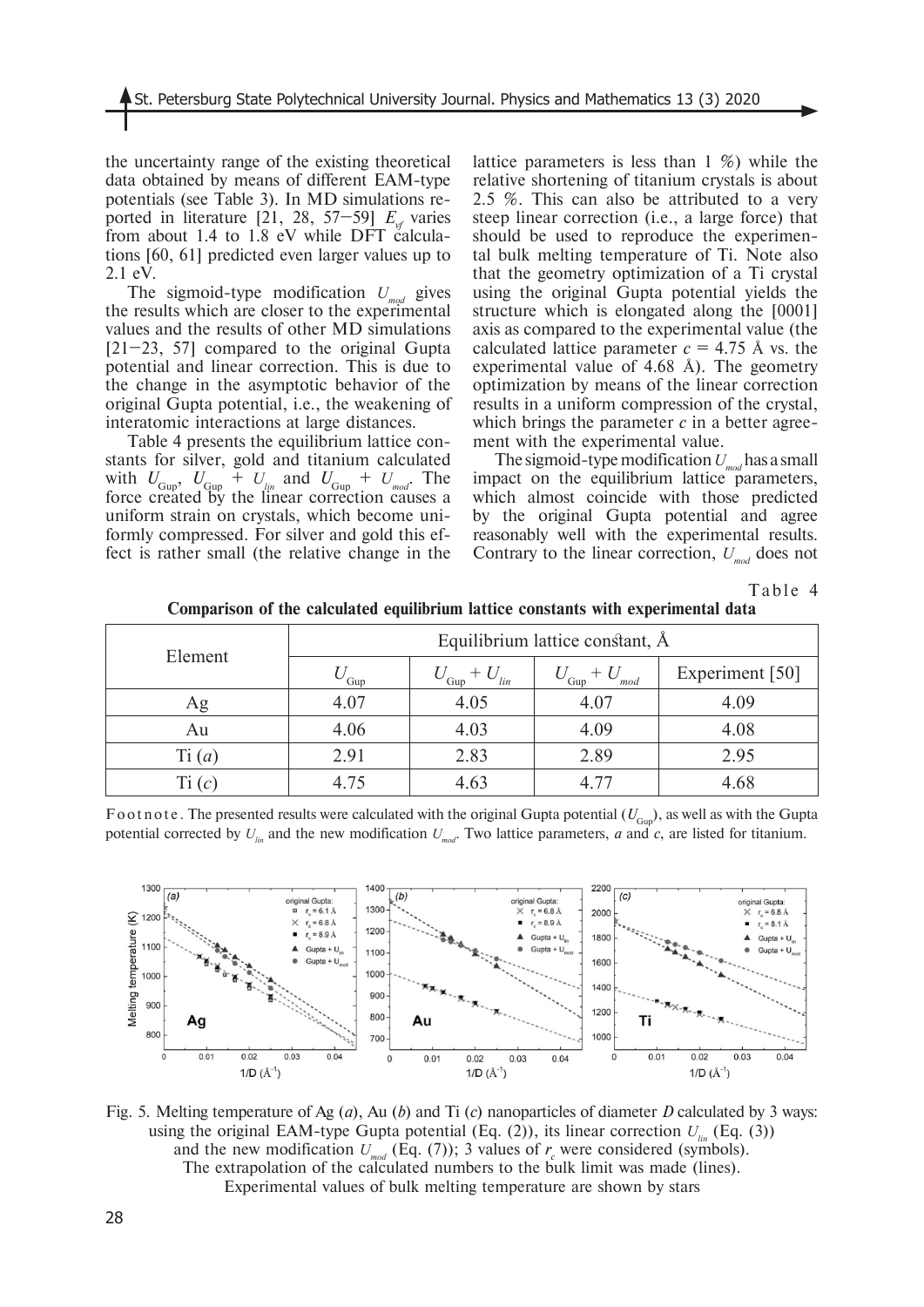the uncertainty range of the existing theoretical data obtained by means of different EAM-type potentials (see Table 3). In MD simulations reported in literature [21, 28, 57–59]  $E_{\text{vf}}$  varies from about 1.4 to 1.8 eV while DFT calculations [60, 61] predicted even larger values up to 2.1 eV.

The sigmoid-type modification  $U_{mod}$  gives the results which are closer to the experimental values and the results of other MD simulations  $[21-23, 57]$  compared to the original Gupta potential and linear correction. This is due to the change in the asymptotic behavior of the original Gupta potential, i.e., the weakening of interatomic interactions at large distances.

Table 4 presents the equilibrium lattice constants for silver, gold and titanium calculated with  $U_{Gup}$ ,  $U_{Gup}$  +  $U_{lin}$  and  $U_{Gup}$  +  $U_{mod}$ . The force created by the linear correction causes a uniform strain on crystals, which become uniformly compressed. For silver and gold this effect is rather small (the relative change in the

lattice parameters is less than 1 %) while the relative shortening of titanium crystals is about 2.5 %. This can also be attributed to a very steep linear correction (i.e., a large force) that should be used to reproduce the experimental bulk melting temperature of Ti. Note also that the geometry optimization of a Ti crystal using the original Gupta potential yields the structure which is elongated along the [0001] axis as compared to the experimental value (the calculated lattice parameter  $c = 4.75$  Å vs. the experimental value of 4.68 Å). The geometry optimization by means of the linear correction results in a uniform compression of the crystal, which brings the parameter *c* in a better agreement with the experimental value.

The sigmoid-type modification  $U_{mod}$  has a small impact on the equilibrium lattice parameters, which almost coincide with those predicted by the original Gupta potential and agree reasonably well with the experimental results. Contrary to the linear correction,  $U_{mod}$  does not

Table 4

|          | Equilibrium lattice constant, Å |                   |                    |                 |  |  |
|----------|---------------------------------|-------------------|--------------------|-----------------|--|--|
| Element  | Gup                             | $\int$ Gup<br>lin | $+U$<br>Gup<br>mod | Experiment [50] |  |  |
| Ag       | 4.07                            | 4.05              | 4.07               | 4.09            |  |  |
| Au       | 4.06                            | 4.03              | 4.09               | 4.08            |  |  |
| Ti(a)    | 2.91                            | 2.83              | 2.89               | 2.95            |  |  |
| Ti $(c)$ | 4.75                            | 4.63              | 4 77               | 4.68            |  |  |

**Comparison of the calculated equilibrium lattice constants with experimental data**

Foot note. The presented results were calculated with the original Gupta potential  $(U_{Gun})$ , as well as with the Gupta potential corrected by  $U_{lm}$  and the new modification  $U_{md}$ . Two lattice parameters, *a* and *c*, are listed for titanium.

![](_page_9_Figure_10.jpeg)

Fig. 5. Melting temperature of Ag (*a*), Au (*b*) and Ti (*c*) nanoparticles of diameter *D* calculated by 3 ways: using the original EAM-type Gupta potential (Eq.  $(2)$ ), its linear correction  $U_{n}$  (Eq.  $(3)$ ) and the new modification  $U_{mod}$  (Eq. (7)); 3 values of  $r_c$  were considered (symbols). The extrapolation of the calculated numbers to the bulk limit was made (lines). Experimental values of bulk melting temperature are shown by stars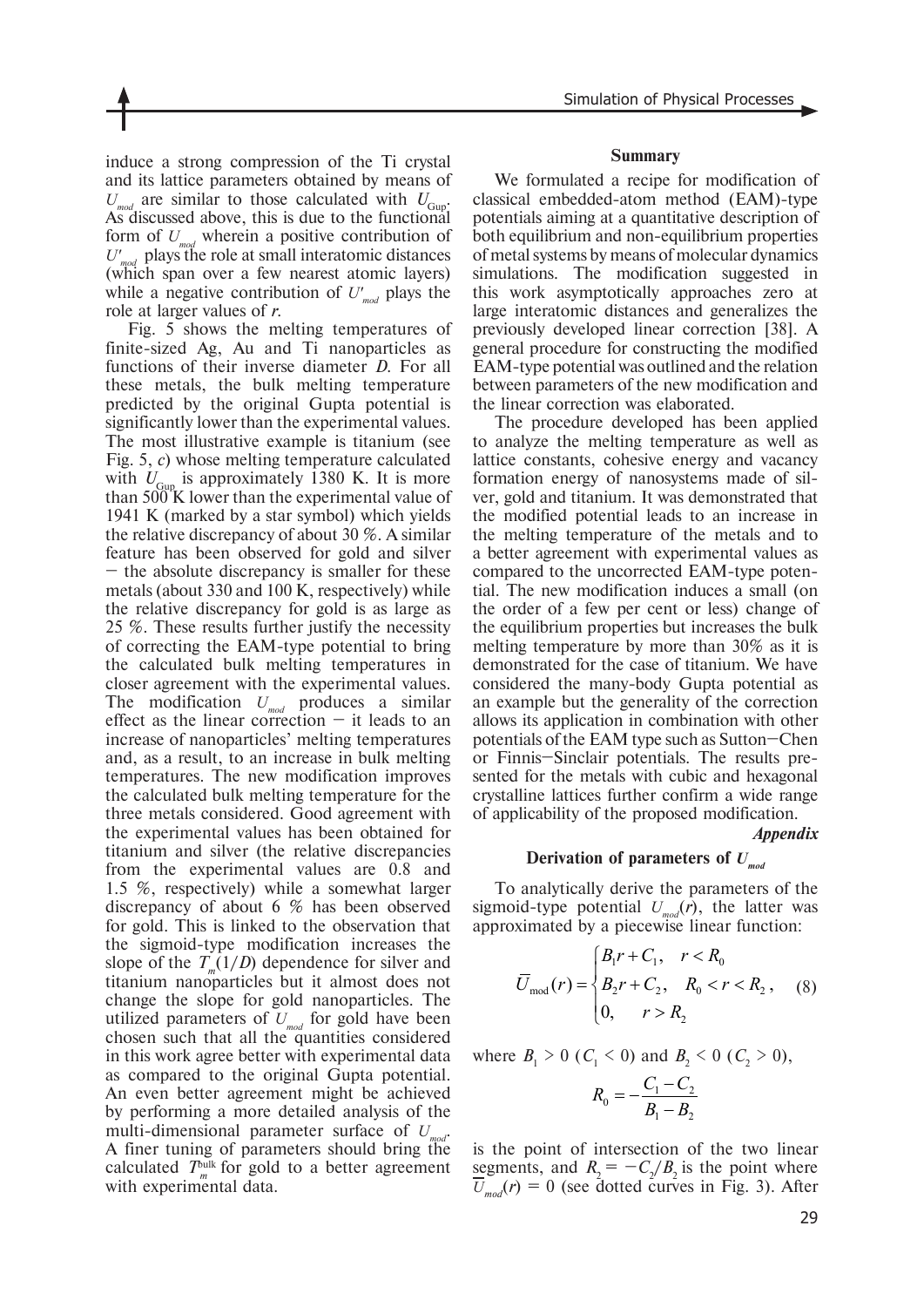induce a strong compression of the Ti crystal and its lattice parameters obtained by means of  $U_{mod}$  are similar to those calculated with  $U_{Gup}$ . As discussed above, this is due to the functional form of  $U_{mod}$  wherein a positive contribution of  $U'_{mod}$  plays the role at small interatomic distances (which span over a few nearest atomic layers) while a negative contribution of  $U'_{mod}$  plays the role at larger values of *r*.

Fig. 5 shows the melting temperatures of finite-sized Ag, Au and Ti nanoparticles as functions of their inverse diameter *D*. For all these metals, the bulk melting temperature predicted by the original Gupta potential is significantly lower than the experimental values. The most illustrative example is titanium (see Fig. 5, *c*) whose melting temperature calculated with  $U_{Gup}$  is approximately 1380 K. It is more than 500 K lower than the experimental value of 1941 K (marked by a star symbol) which yields the relative discrepancy of about 30 %. A similar feature has been observed for gold and silver – the absolute discrepancy is smaller for these metals (about 330 and 100 K, respectively) while the relative discrepancy for gold is as large as 25 %. These results further justify the necessity of correcting the EAM-type potential to bring the calculated bulk melting temperatures in closer agreement with the experimental values. The modification *Umod* produces a similar effect as the linear correction  $-$  it leads to an increase of nanoparticles' melting temperatures and, as a result, to an increase in bulk melting temperatures. The new modification improves the calculated bulk melting temperature for the three metals considered. Good agreement with the experimental values has been obtained for titanium and silver (the relative discrepancies from the experimental values are 0.8 and 1.5 %, respectively) while a somewhat larger discrepancy of about 6 % has been observed for gold. This is linked to the observation that the sigmoid-type modification increases the slope of the  $T_{m}(1/D)$  dependence for silver and titanium nanoparticles but it almost does not change the slope for gold nanoparticles. The utilized parameters of *Umod* for gold have been chosen such that all the quantities considered in this work agree better with experimental data as compared to the original Gupta potential. An even better agreement might be achieved by performing a more detailed analysis of the multi-dimensional parameter surface of *U* A finer tuning of parameters should bring the calculated  $T<sub>m</sub><sup>bulk</sup>$  for gold to a better agreement with experimental data.

#### **Summary**

We formulated a recipe for modification of classical embedded-atom method (EAM)-type potentials aiming at a quantitative description of both equilibrium and non-equilibrium properties of metal systems by means of molecular dynamics simulations. The modification suggested in this work asymptotically approaches zero at large interatomic distances and generalizes the previously developed linear correction [38]. A general procedure for constructing the modified EAM-type potential was outlined and the relation between parameters of the new modification and the linear correction was elaborated.

The procedure developed has been applied to analyze the melting temperature as well as lattice constants, cohesive energy and vacancy formation energy of nanosystems made of silver, gold and titanium. It was demonstrated that the modified potential leads to an increase in the melting temperature of the metals and to a better agreement with experimental values as compared to the uncorrected EAM-type potential. The new modification induces a small (on the order of a few per cent or less) change of the equilibrium properties but increases the bulk melting temperature by more than 30% as it is demonstrated for the case of titanium. We have considered the many-body Gupta potential as an example but the generality of the correction allows its application in combination with other potentials of the EAM type such as Sutton–Chen or Finnis–Sinclair potentials. The results presented for the metals with cubic and hexagonal crystalline lattices further confirm a wide range of applicability of the proposed modification.

#### *Appendix*

## **Derivation of parameters of** *Umod*

To analytically derive the parameters of the sigmoid-type potential  $U_{mod}(r)$ , the latter was approximated by a piecewise linear function:

$$
\overline{U}_{\text{mod}}(r) = \begin{cases} B_1 r + C_1, & r < R_0 \\ B_2 r + C_2, & R_0 < r < R_2, \\ 0, & r > R_2 \end{cases}
$$
 (8)

where  $B_1 > 0$  ( $C_1 < 0$ ) and  $B_2 < 0$  ( $C_2 > 0$ ),

$$
R_0 = -\frac{C_1 - C_2}{B_1 - B_2}
$$

is the point of intersection of the two linear segments, and  $R_2 = -C_2/B_2$  is the point where  $\overline{U}_{mod}(r) = 0$  (see dotted curves in Fig. 3). After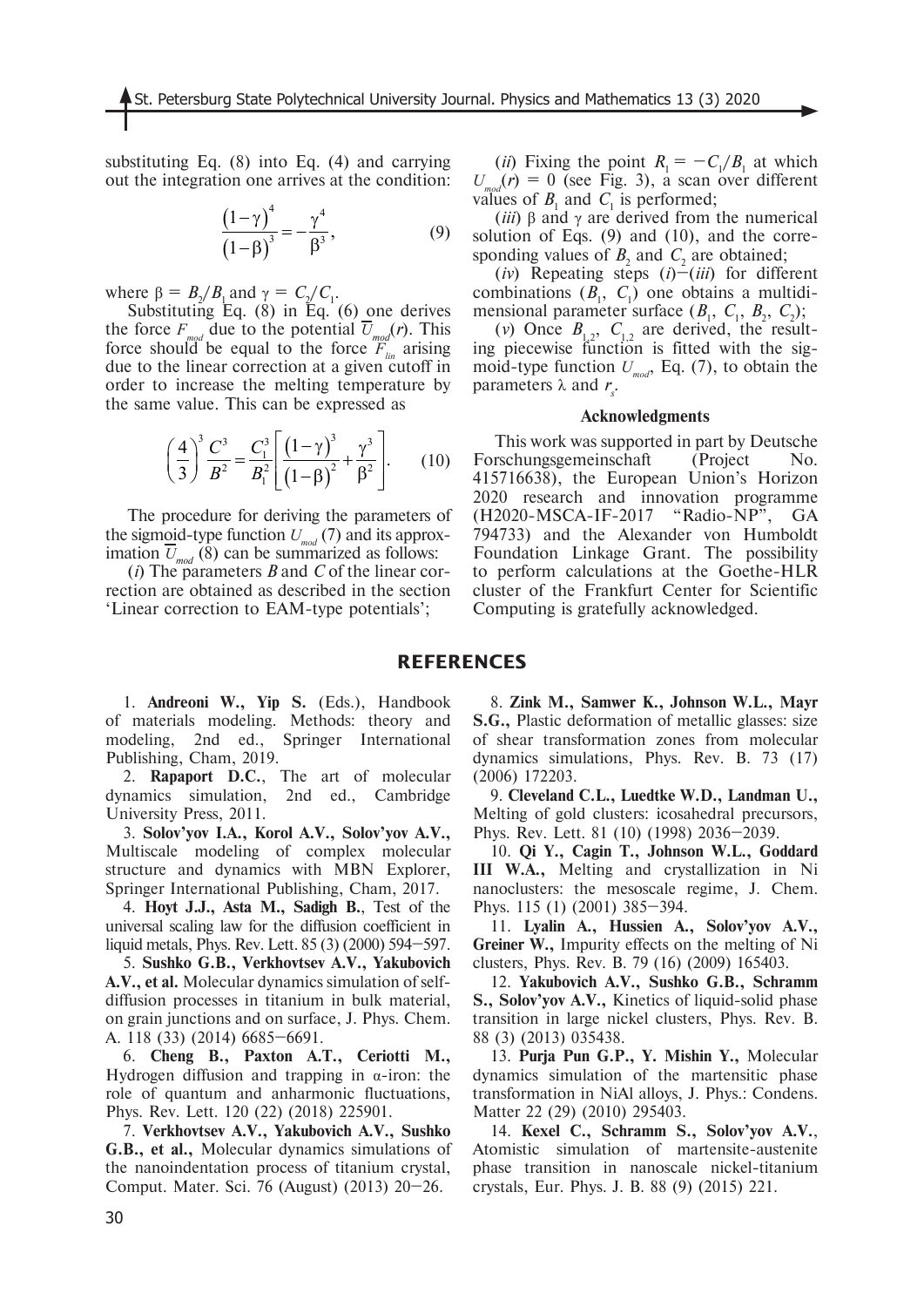substituting Eq. (8) into Eq. (4) and carrying out the integration one arrives at the condition:

$$
\frac{\left(1-\gamma\right)^4}{\left(1-\beta\right)^3} = -\frac{\gamma^4}{\beta^3},\tag{9}
$$

where  $\beta = B_2/B_1$  and  $\gamma = C_2/C_1$ .

Substituting Eq. (8) in Eq. (6) one derives the force  $F_{mod}$  due to the potential  $\overline{U}_{mod}(r)$ . This force should be equal to the force  $F_{lin}^{mod}$  arising due to the linear correction at a given cutoff in order to increase the melting temperature by the same value. This can be expressed as

$$
\left(\frac{4}{3}\right)^3 \frac{C^3}{B^2} = \frac{C_1^3}{B_1^2} \left[ \frac{\left(1 - \gamma\right)^3}{\left(1 - \beta\right)^2} + \frac{\gamma^3}{\beta^2} \right].
$$
 (10)

The procedure for deriving the parameters of the sigmoid-type function  $U_{mod}$  (7) and its approximation  $\overline{U}_{mod}(\overline{8})$  can be summarized as follows:

(*i*) The parameters *B* and *C* of the linear correction are obtained as described in the section 'Linear correction to EAM-type potentials';

(*ii*) Fixing the point  $R_1 = -C_1/B_1$  at which  $U_{mod}(r) = 0$  (see Fig. 3), a scan over different values of  $B_1$  and  $C_1$  is performed;

(*iii*) β and γ are derived from the numerical solution of Eqs. (9) and (10), and the corresponding values of  $B_2$  and  $C_2$  are obtained;

 $(iv)$  Repeating steps  $(i)$ – $(iii)$  for different combinations  $(B_1, C_1)$  one obtains a multidimensional parameter surface  $(B_1, C_1, B_2, C_2)$ ;

(*v*) Once  $B_{1,2}$ ,  $C_{1,2}$  are derived, the resulting piecewise function is fitted with the sigmoid-type function  $U_{mod}$ , Eq. (7), to obtain the parameters  $\lambda$  and  $r_s$ .

#### **Acknowledgments**

This work was supported in part by Deutsche Forschungsgemeinschaft (Project No. 415716638), the European Union's Horizon 2020 research and innovation programme (H2020-MSCA-IF-2017 "Radio-NP", GA 794733) and the Alexander von Humboldt Foundation Linkage Grant. The possibility to perform calculations at the Goethe-HLR cluster of the Frankfurt Center for Scientific Computing is gratefully acknowledged.

## **REFERENCES**

1. **Andreoni W., Yip S.** (Eds.), Handbook of materials modeling. Methods: theory and modeling, 2nd ed., Springer International Publishing, Cham, 2019.

2. **Rapaport D.C.**, The art of molecular dynamics simulation, 2nd ed., Cambridge University Press, 2011.

3. **Solov'yov I.A., Korol A.V., Solov'yov A.V.,** Multiscale modeling of complex molecular structure and dynamics with MBN Explorer, Springer International Publishing, Cham, 2017.

4. **Hoyt J.J., Asta M., Sadigh B.**, Test of the universal scaling law for the diffusion coefficient in liquid metals, Phys. Rev. Lett. 85 (3) (2000) 594–597.

5. **Sushko G.B., Verkhovtsev A.V., Yakubovich A.V., et al.** Molecular dynamics simulation of selfdiffusion processes in titanium in bulk material, on grain junctions and on surface, J. Phys. Chem. A. 118 (33) (2014) 6685–6691.

6. **Cheng B., Paxton A.T., Ceriotti M.,**  Hydrogen diffusion and trapping in  $\alpha$ -iron: the role of quantum and anharmonic fluctuations, Phys. Rev. Lett. 120 (22) (2018) 225901.

7. **Verkhovtsev A.V., Yakubovich A.V., Sushko G.B., et al.,** Molecular dynamics simulations of the nanoindentation process of titanium crystal, Comput. Mater. Sci. 76 (August) (2013) 20–26.

8. **Zink M., Samwer K., Johnson W.L., Mayr S.G.,** Plastic deformation of metallic glasses: size of shear transformation zones from molecular dynamics simulations, Phys. Rev. B. 73 (17) (2006) 172203.

9. **Cleveland C.L., Luedtke W.D., Landman U.,** Melting of gold clusters: icosahedral precursors, Phys. Rev. Lett. 81 (10) (1998) 2036–2039.

10. **Qi Y., Cagin T., Johnson W.L., Goddard III W.A.,** Melting and crystallization in Ni nanoclusters: the mesoscale regime, J. Chem. Phys. 115 (1) (2001) 385–394.

11. **Lyalin A., Hussien A., Solov'yov A.V., Greiner W.,** Impurity effects on the melting of Ni clusters, Phys. Rev. B. 79 (16) (2009) 165403.

12. **Yakubovich A.V., Sushko G.B., Schramm S., Solov'yov A.V.,** Kinetics of liquid-solid phase transition in large nickel clusters, Phys. Rev. B. 88 (3) (2013) 035438.

13. **Purja Pun G.P., Y. Mishin Y.,** Molecular dynamics simulation of the martensitic phase transformation in NiAl alloys, J. Phys.: Condens. Matter 22 (29) (2010) 295403.

14. **Kexel C., Schramm S., Solov'yov A.V.**, Atomistic simulation of martensite-austenite phase transition in nanoscale nickel-titanium crystals, Eur. Phys. J. B. 88 (9) (2015) 221.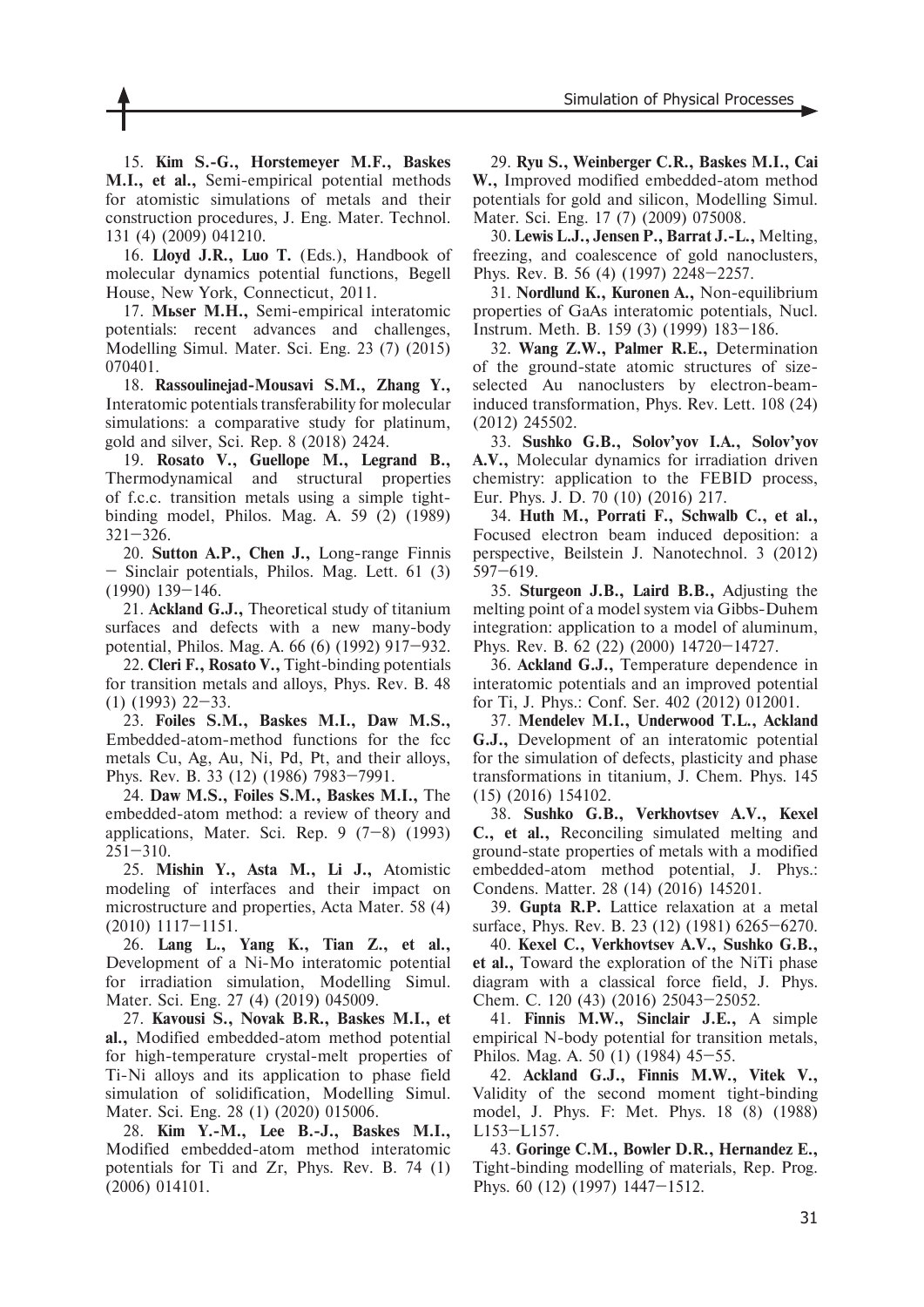15. **Kim S.-G., Horstemeyer M.F., Baskes M.I., et al.,** Semi-empirical potential methods for atomistic simulations of metals and their construction procedures, J. Eng. Mater. Technol. 131 (4) (2009) 041210.

16. **Lloyd J.R., Luo T.** (Eds.), Handbook of molecular dynamics potential functions, Begell House, New York, Connecticut, 2011.

17. **Müser M.H.,** Semi-empirical interatomic potentials: recent advances and challenges, Modelling Simul. Mater. Sci. Eng. 23 (7) (2015) 070401.

18. **Rassoulinejad-Mousavi S.M., Zhang Y.,**  Interatomic potentials transferability for molecular simulations: a comparative study for platinum, gold and silver, Sci. Rep. 8 (2018) 2424.

19. **Rosato V., Guellope M., Legrand B.,**  Thermodynamical and structural properties of f.c.c. transition metals using a simple tightbinding model, Philos. Mag. A. 59 (2) (1989) 321–326.

20. **Sutton A.P., Chen J.,** Long-range Finnis – Sinclair potentials, Philos. Mag. Lett. 61 (3) (1990) 139–146.

21. **Ackland G.J.,** Theoretical study of titanium surfaces and defects with a new many-body potential, Philos. Mag. A. 66 (6) (1992) 917–932.

22. **Cleri F., Rosato V.,** Tight-binding potentials for transition metals and alloys, Phys. Rev. B. 48 (1) (1993) 22–33.

23. **Foiles S.M., Baskes M.I., Daw M.S.,**  Embedded-atom-method functions for the fcc metals Cu, Ag, Au, Ni, Pd, Pt, and their alloys, Phys. Rev. B. 33 (12) (1986) 7983–7991.

24. **Daw M.S., Foiles S.M., Baskes M.I.,** The embedded-atom method: a review of theory and applications, Mater. Sci. Rep. 9 (7–8) (1993)  $251 - 310.$ 

25. **Mishin Y., Asta M., Li J.,** Atomistic modeling of interfaces and their impact on microstructure and properties, Acta Mater. 58 (4) (2010) 1117–1151.

26. **Lang L., Yang K., Tian Z., et al.,**  Development of a Ni-Mo interatomic potential for irradiation simulation, Modelling Simul. Mater. Sci. Eng. 27 (4) (2019) 045009.

27. **Kavousi S., Novak B.R., Baskes M.I., et al.,** Modified embedded-atom method potential for high-temperature crystal-melt properties of Ti-Ni alloys and its application to phase field simulation of solidification, Modelling Simul. Mater. Sci. Eng. 28 (1) (2020) 015006.

28. **Kim Y.-M., Lee B.-J., Baskes M.I.,** Modified embedded-atom method interatomic potentials for Ti and Zr, Phys. Rev. B. 74 (1) (2006) 014101.

29. **Ryu S., Weinberger C.R., Baskes M.I., Cai W.,** Improved modified embedded-atom method potentials for gold and silicon, Modelling Simul. Mater. Sci. Eng. 17 (7) (2009) 075008.

30. **Lewis L.J., Jensen P., Barrat J.-L.,** Melting, freezing, and coalescence of gold nanoclusters, Phys. Rev. B. 56 (4) (1997) 2248–2257.

31. **Nordlund K., Kuronen A.,** Non-equilibrium properties of GaAs interatomic potentials, Nucl. Instrum. Meth. B. 159 (3) (1999) 183–186.

32. **Wang Z.W., Palmer R.E.,** Determination of the ground-state atomic structures of sizeselected Au nanoclusters by electron-beaminduced transformation, Phys. Rev. Lett. 108 (24) (2012) 245502.

33. **Sushko G.B., Solov'yov I.A., Solov'yov A.V.,** Molecular dynamics for irradiation driven chemistry: application to the FEBID process, Eur. Phys. J. D. 70 (10) (2016) 217.

34. **Huth M., Porrati F., Schwalb C., et al.,**  Focused electron beam induced deposition: a perspective, Beilstein J. Nanotechnol. 3 (2012) 597–619.

35. **Sturgeon J.B., Laird B.B.,** Adjusting the melting point of a model system via Gibbs-Duhem integration: application to a model of aluminum, Phys. Rev. B. 62 (22) (2000) 14720–14727.

36. **Ackland G.J.,** Temperature dependence in interatomic potentials and an improved potential for Ti, J. Phys.: Conf. Ser. 402 (2012) 012001.

37. **Mendelev M.I., Underwood T.L., Ackland G.J.,** Development of an interatomic potential for the simulation of defects, plasticity and phase transformations in titanium, J. Chem. Phys. 145 (15) (2016) 154102.

38. **Sushko G.B., Verkhovtsev A.V., Kexel C., et al.,** Reconciling simulated melting and ground-state properties of metals with a modified embedded-atom method potential, J. Phys.: Condens. Matter. 28 (14) (2016) 145201.

39. **Gupta R.P.** Lattice relaxation at a metal surface, Phys. Rev. B. 23 (12) (1981) 6265–6270.

40. **Kexel C., Verkhovtsev A.V., Sushko G.B., et al.,** Toward the exploration of the NiTi phase diagram with a classical force field, J. Phys. Chem. C. 120 (43) (2016) 25043–25052.

41. **Finnis M.W., Sinclair J.E.,** A simple empirical N-body potential for transition metals, Philos. Mag. A. 50 (1) (1984) 45–55.

42. **Ackland G.J., Finnis M.W., Vitek V.,**  Validity of the second moment tight-binding model, J. Phys. F: Met. Phys. 18 (8) (1988) L153–L157.

43. **Goringe C.M., Bowler D.R., Hernandez E.,**  Tight-binding modelling of materials, Rep. Prog. Phys. 60 (12) (1997) 1447–1512.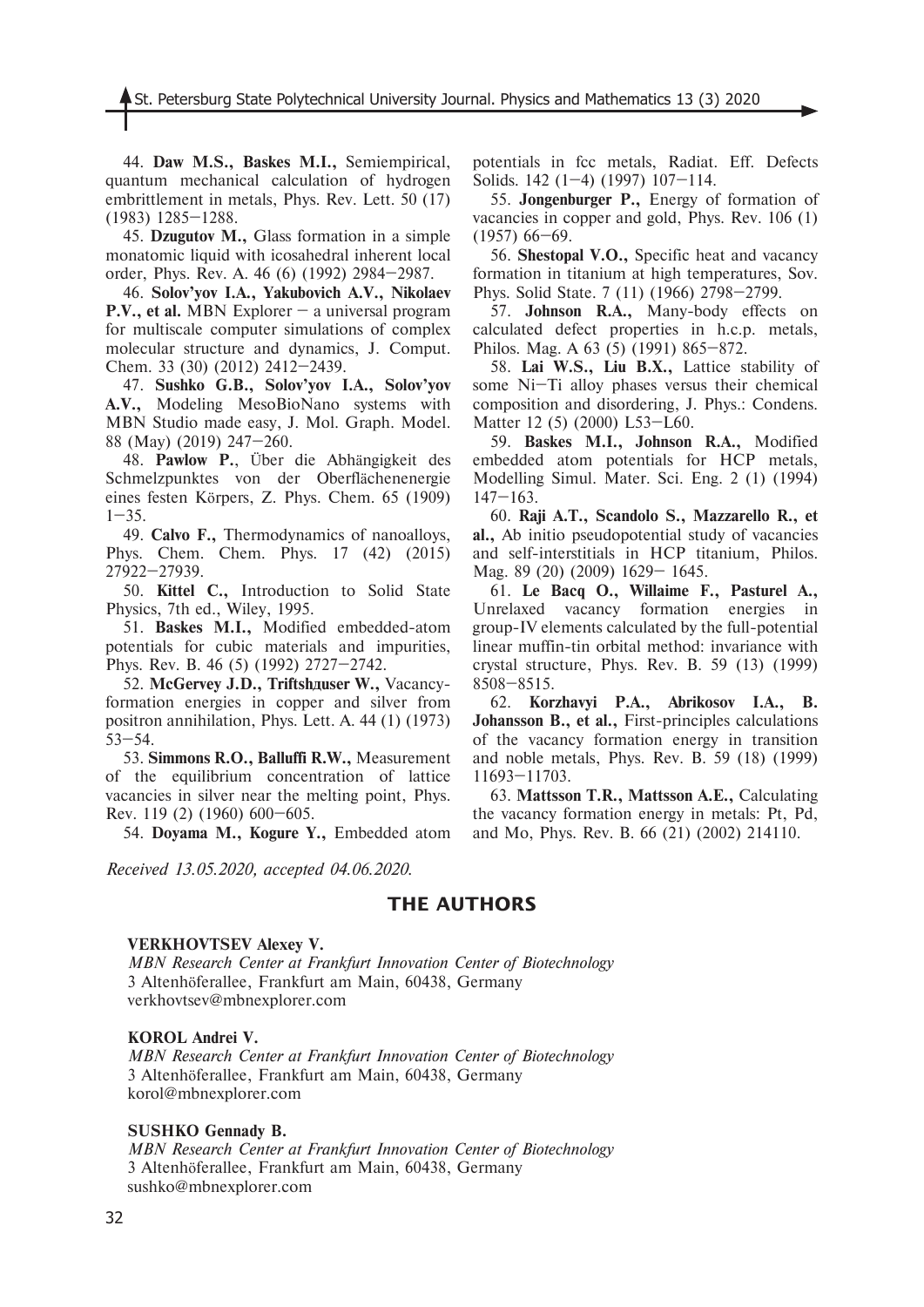44. **Daw M.S., Baskes M.I.,** Semiempirical, quantum mechanical calculation of hydrogen embrittlement in metals, Phys. Rev. Lett. 50 (17) (1983) 1285–1288.

45. **Dzugutov M.,** Glass formation in a simple monatomic liquid with icosahedral inherent local order, Phys. Rev. A. 46 (6) (1992) 2984–2987.

46. **Solov'yov I.A., Yakubovich A.V., Nikolaev P.V., et al.** MBN Explorer – a universal program for multiscale computer simulations of complex molecular structure and dynamics, J. Comput. Chem. 33 (30) (2012) 2412–2439.

47. **Sushko G.B., Solov'yov I.A., Solov'yov A.V.,** Modeling MesoBioNano systems with MBN Studio made easy, J. Mol. Graph. Model. 88 (May) (2019) 247–260.

48. **Pawlow P.**, Über die Abhängigkeit des Schmelzpunktes von der Oberflächenenergie eines festen Körpers, Z. Phys. Chem. 65 (1909)  $1 - 35$ .

49. **Calvo F.,** Thermodynamics of nanoalloys, Phys. Chem. Chem. Phys. 17 (42) (2015) 27922–27939.

50. **Kittel C.,** Introduction to Solid State Physics, 7th ed., Wiley, 1995.

51. **Baskes M.I.,** Modified embedded-atom potentials for cubic materials and impurities, Phys. Rev. B. 46 (5) (1992) 2727–2742.

52. McGervey J.D., Triftsh**дuser W.**, Vacancyformation energies in copper and silver from positron annihilation, Phys. Lett. A. 44 (1) (1973) 53–54.

53. **Simmons R.O., Balluffi R.W.,** Measurement of the equilibrium concentration of lattice vacancies in silver near the melting point, Phys. Rev. 119 (2) (1960) 600–605.

54. **Doyama M., Kogure Y.,** Embedded atom

*Received 13.05.2020, accepted 04.06.2020.*

potentials in fcc metals, Radiat. Eff. Defects Solids. 142 (1–4) (1997) 107–114.

55. **Jongenburger P.,** Energy of formation of vacancies in copper and gold, Phys. Rev. 106 (1) (1957) 66–69.

56. **Shestopal V.O.,** Specific heat and vacancy formation in titanium at high temperatures, Sov. Phys. Solid State. 7 (11) (1966) 2798–2799.

57. **Johnson R.A.,** Many-body effects on calculated defect properties in h.c.p. metals, Philos. Mag. A 63 (5) (1991) 865–872.

58. **Lai W.S., Liu B.X.,** Lattice stability of some Ni–Ti alloy phases versus their chemical composition and disordering, J. Phys.: Condens. Matter 12 (5) (2000) L53–L60.

59. **Baskes M.I., Johnson R.A.,** Modified embedded atom potentials for HCP metals, Modelling Simul. Mater. Sci. Eng. 2 (1) (1994)  $147 - 163$ .

60. **Raji A.T., Scandolo S., Mazzarello R., et al.,** Ab initio pseudopotential study of vacancies and self-interstitials in HCP titanium, Philos. Mag. 89 (20) (2009) 1629– 1645.

61. **Le Bacq O., Willaime F., Pasturel A.,** Unrelaxed vacancy formation energies in group-IV elements calculated by the full-potential linear muffin-tin orbital method: invariance with crystal structure, Phys. Rev. B. 59 (13) (1999) 8508–8515.

62. **Korzhavyi P.A., Abrikosov I.A., B. Johansson B., et al.,** First-principles calculations of the vacancy formation energy in transition and noble metals, Phys. Rev. B. 59 (18) (1999) 11693–11703.

63. **Mattsson T.R., Mattsson A.E.,** Calculating the vacancy formation energy in metals: Pt, Pd, and Mo, Phys. Rev. B. 66 (21) (2002) 214110.

# **THE AUTHORS**

## **VERKHOVTSEV Alexey V.**

*MBN Research Center at Frankfurt Innovation Center of Biotechnology* 3 Altenhöferallee, Frankfurt am Main, 60438, Germany verkhovtsev@mbnexplorer.com

## **KOROL Andrei V.**

*MBN Research Center at Frankfurt Innovation Center of Biotechnology* 3 Altenhöferallee, Frankfurt am Main, 60438, Germany korol@mbnexplorer.com

#### **SUSHKO Gennady B.**

*MBN Research Center at Frankfurt Innovation Center of Biotechnology* 3 Altenhöferallee, Frankfurt am Main, 60438, Germany sushko@mbnexplorer.com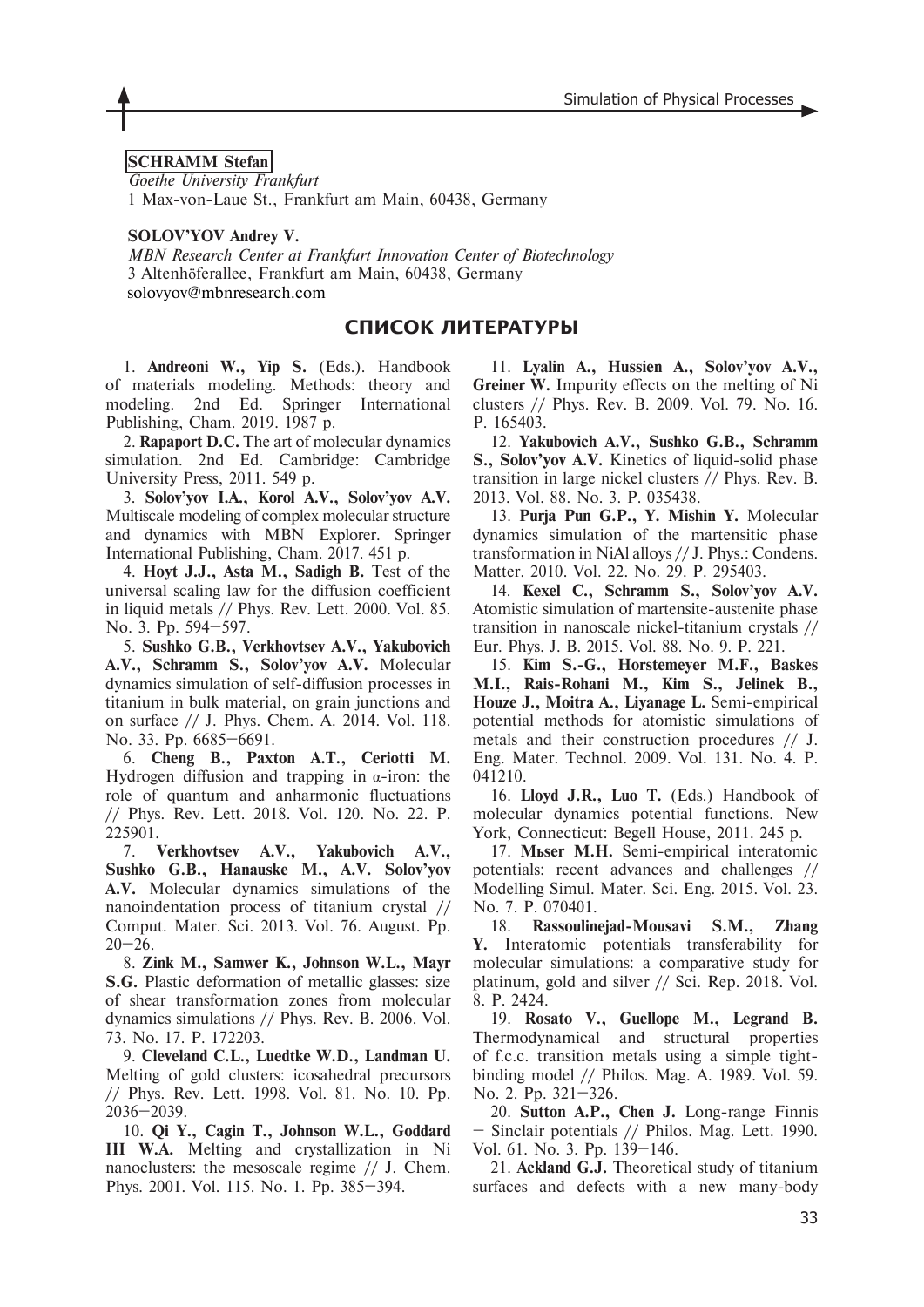# **SCHRAMM Stefan**

*Goethe University Frankfurt* 1 Max-von-Laue St., Frankfurt am Main, 60438, Germany

## **SOLOV'YOV Andrey V.**

*MBN Research Center at Frankfurt Innovation Center of Biotechnology* 3 Altenhöferallee, Frankfurt am Main, 60438, Germany solovyov@mbnresearch.com

# **СПИСОК ЛИТЕРАТУРЫ**

1. **Andreoni W., Yip S.** (Eds.). Handbook of materials modeling. Methods: theory and modeling. 2nd Ed. Springer International Publishing, Cham. 2019. 1987 p.

2. **Rapaport D.C.** The art of molecular dynamics simulation. 2nd Ed. Cambridge: Cambridge University Press, 2011. 549 p.

3. **Solov'yov I.A., Korol A.V., Solov'yov A.V.** Multiscale modeling of complex molecular structure and dynamics with MBN Explorer. Springer International Publishing, Cham. 2017. 451 p.

4. **Hoyt J.J., Asta M., Sadigh B.** Test of the universal scaling law for the diffusion coefficient in liquid metals // Phys. Rev. Lett. 2000. Vol. 85. No. 3. Pp. 594–597.

5. **Sushko G.B., Verkhovtsev A.V., Yakubovich A.V., Schramm S., Solov'yov A.V.** Molecular dynamics simulation of self-diffusion processes in titanium in bulk material, on grain junctions and on surface // J. Phys. Chem. A. 2014. Vol. 118. No. 33. Pp. 6685–6691.

6. **Cheng B., Paxton A.T., Ceriotti M.** Hydrogen diffusion and trapping in  $α$ -iron: the role of quantum and anharmonic fluctuations // Phys. Rev. Lett. 2018. Vol. 120. No. 22. P. 225901.

7. **Verkhovtsev A.V., Yakubovich A.V., Sushko G.B., Hanauske M., A.V. Solov'yov A.V.** Molecular dynamics simulations of the nanoindentation process of titanium crystal // Comput. Mater. Sci. 2013. Vol. 76. August. Pp.  $20 - 26$ .

8. **Zink M., Samwer K., Johnson W.L., Mayr S.G.** Plastic deformation of metallic glasses: size of shear transformation zones from molecular dynamics simulations // Phys. Rev. B. 2006. Vol. 73. No. 17. P. 172203.

9. **Cleveland C.L., Luedtke W.D., Landman U.** Melting of gold clusters: icosahedral precursors // Phys. Rev. Lett. 1998. Vol. 81. No. 10. Pp. 2036–2039.

10. **Qi Y., Cagin T., Johnson W.L., Goddard III W.A.** Melting and crystallization in Ni nanoclusters: the mesoscale regime // J. Chem. Phys. 2001. Vol. 115. No. 1. Pp. 385–394.

11. **Lyalin A., Hussien A., Solov'yov A.V., Greiner W.** Impurity effects on the melting of Ni clusters // Phys. Rev. B. 2009. Vol. 79. No. 16. P. 165403.

12. **Yakubovich A.V., Sushko G.B., Schramm S., Solov'yov A.V.** Kinetics of liquid-solid phase transition in large nickel clusters // Phys. Rev. B. 2013. Vol. 88. No. 3. P. 035438.

13. **Purja Pun G.P., Y. Mishin Y.** Molecular dynamics simulation of the martensitic phase transformation in NiAl alloys // J. Phys.: Condens. Matter. 2010. Vol. 22. No. 29. P. 295403.

14. **Kexel C., Schramm S., Solov'yov A.V.** Atomistic simulation of martensite-austenite phase transition in nanoscale nickel-titanium crystals // Eur. Phys. J. B. 2015. Vol. 88. No. 9. P. 221.

15. **Kim S.-G., Horstemeyer M.F., Baskes M.I., Rais-Rohani M., Kim S., Jelinek B., Houze J., Moitra A., Liyanage L.** Semi-empirical potential methods for atomistic simulations of metals and their construction procedures // J. Eng. Mater. Technol. 2009. Vol. 131. No. 4. P. 041210.

16. **Lloyd J.R., Luo T.** (Eds.) Handbook of molecular dynamics potential functions. New York, Connecticut: Begell House, 2011. 245 p.

17. **Müser M.H.** Semi-empirical interatomic potentials: recent advances and challenges // Modelling Simul. Mater. Sci. Eng. 2015. Vol. 23. No. 7. P. 070401.

18. **Rassoulinejad-Mousavi S.M., Zhang Y.** Interatomic potentials transferability for molecular simulations: a comparative study for platinum, gold and silver // Sci. Rep. 2018. Vol. 8. P. 2424.

19. **Rosato V., Guellope M., Legrand B.** Thermodynamical and structural properties of f.c.c. transition metals using a simple tightbinding model // Philos. Mag. A. 1989. Vol. 59. No. 2. Pp. 321–326.

20. **Sutton A.P., Chen J.** Long-range Finnis – Sinclair potentials // Philos. Mag. Lett. 1990. Vol. 61. No. 3. Pp. 139–146.

21. **Ackland G.J.** Theoretical study of titanium surfaces and defects with a new many-body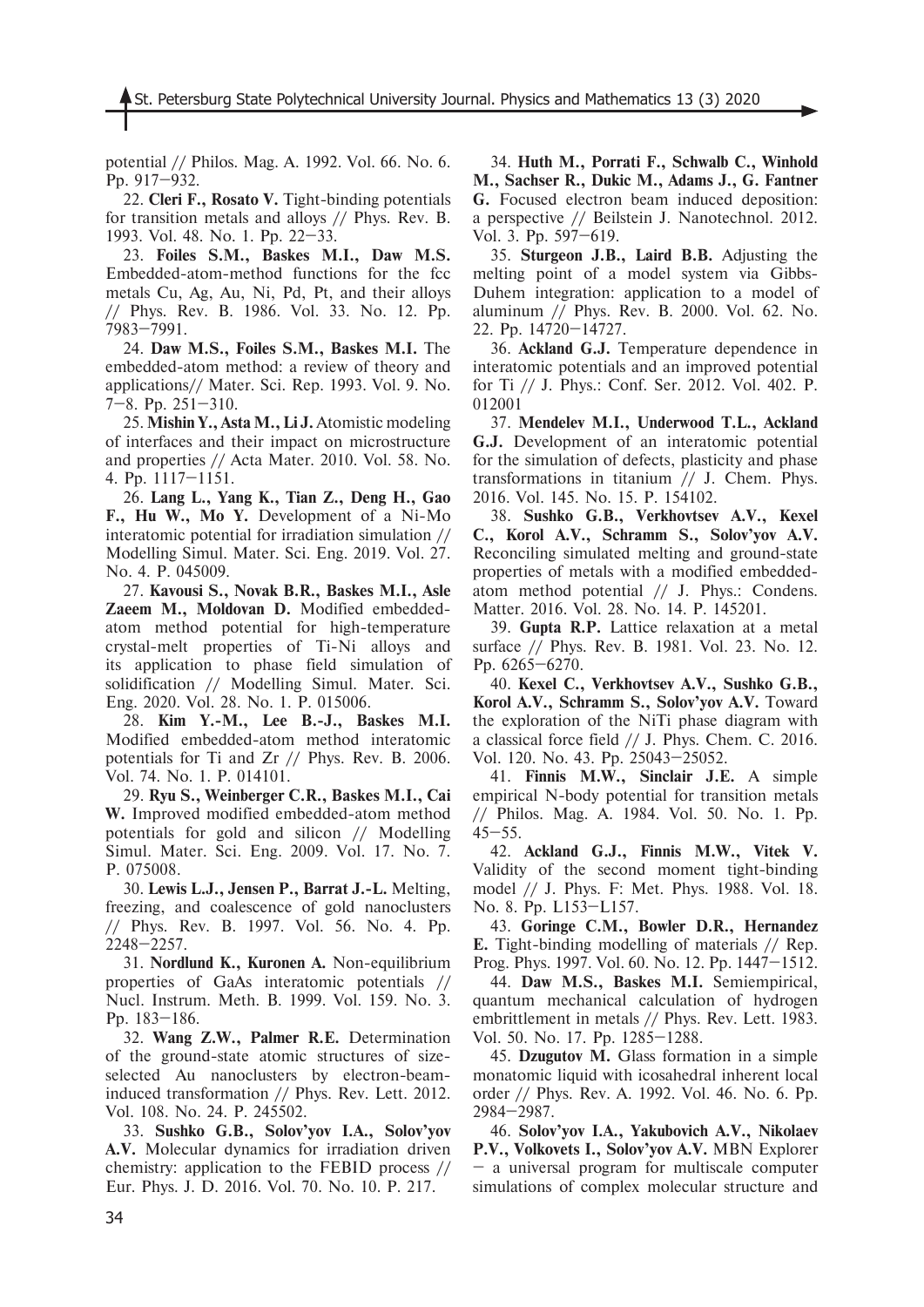potential // Philos. Mag. A. 1992. Vol. 66. No. 6. Pp. 917–932.

22. **Cleri F., Rosato V.** Tight-binding potentials for transition metals and alloys // Phys. Rev. B. 1993. Vol. 48. No. 1. Pp. 22–33.

23. **Foiles S.M., Baskes M.I., Daw M.S.**  Embedded-atom-method functions for the fcc metals Cu, Ag, Au, Ni, Pd, Pt, and their alloys // Phys. Rev. B. 1986. Vol. 33. No. 12. Pp. 7983–7991.

24. **Daw M.S., Foiles S.M., Baskes M.I.** The embedded-atom method: a review of theory and applications// Mater. Sci. Rep. 1993. Vol. 9. No. 7–8. Pp. 251–310.

25. **Mishin Y., Asta M., Li J.** Atomistic modeling of interfaces and their impact on microstructure and properties // Acta Mater. 2010. Vol. 58. No. 4. Pp. 1117–1151.

26. **Lang L., Yang K., Tian Z., Deng H., Gao F., Hu W., Mo Y.** Development of a Ni-Mo interatomic potential for irradiation simulation // Modelling Simul. Mater. Sci. Eng. 2019. Vol. 27. No. 4. P. 045009.

27. **Kavousi S., Novak B.R., Baskes M.I., Asle Zaeem M., Moldovan D.** Modified embeddedatom method potential for high-temperature crystal-melt properties of Ti-Ni alloys and its application to phase field simulation of solidification // Modelling Simul. Mater. Sci. Eng. 2020. Vol. 28. No. 1. P. 015006.

28. **Kim Y.-M., Lee B.-J., Baskes M.I.** Modified embedded-atom method interatomic potentials for Ti and Zr // Phys. Rev. B. 2006. Vol. 74. No. 1. P. 014101.

29. **Ryu S., Weinberger C.R., Baskes M.I., Cai W.** Improved modified embedded-atom method potentials for gold and silicon // Modelling Simul. Mater. Sci. Eng. 2009. Vol. 17. No. 7. P. 075008.

30. **Lewis L.J., Jensen P., Barrat J.-L.** Melting, freezing, and coalescence of gold nanoclusters // Phys. Rev. B. 1997. Vol. 56. No. 4. Pp. 2248–2257.

31. **Nordlund K., Kuronen A.** Non-equilibrium properties of GaAs interatomic potentials // Nucl. Instrum. Meth. B. 1999. Vol. 159. No. 3. Pp. 183–186.

32. **Wang Z.W., Palmer R.E.** Determination of the ground-state atomic structures of sizeselected Au nanoclusters by electron-beaminduced transformation // Phys. Rev. Lett. 2012. Vol. 108. No. 24. P. 245502.

33. **Sushko G.B., Solov'yov I.A., Solov'yov A.V.** Molecular dynamics for irradiation driven chemistry: application to the FEBID process // Eur. Phys. J. D. 2016. Vol. 70. No. 10. P. 217.

34. **Huth M., Porrati F., Schwalb C., Winhold M., Sachser R., Dukic M., Adams J., G. Fantner G.** Focused electron beam induced deposition: a perspective // Beilstein J. Nanotechnol. 2012. Vol. 3. Pp. 597–619.

35. **Sturgeon J.B., Laird B.B.** Adjusting the melting point of a model system via Gibbs-Duhem integration: application to a model of aluminum // Phys. Rev. B. 2000. Vol. 62. No. 22. Pp. 14720–14727.

36. **Ackland G.J.** Temperature dependence in interatomic potentials and an improved potential for Ti // J. Phys.: Conf. Ser. 2012. Vol. 402. P. 012001

37. **Mendelev M.I., Underwood T.L., Ackland G.J.** Development of an interatomic potential for the simulation of defects, plasticity and phase transformations in titanium // J. Chem. Phys. 2016. Vol. 145. No. 15. P. 154102.

38. **Sushko G.B., Verkhovtsev A.V., Kexel C., Korol A.V., Schramm S., Solov'yov A.V.** Reconciling simulated melting and ground-state properties of metals with a modified embeddedatom method potential // J. Phys.: Condens. Matter. 2016. Vol. 28. No. 14. P. 145201.

39. **Gupta R.P.** Lattice relaxation at a metal surface // Phys. Rev. B. 1981. Vol. 23. No. 12. Pp. 6265–6270.

40. **Kexel C., Verkhovtsev A.V., Sushko G.B., Korol A.V., Schramm S., Solov'yov A.V.** Toward the exploration of the NiTi phase diagram with a classical force field // J. Phys. Chem. C. 2016. Vol. 120. No. 43. Pp. 25043–25052.

41. **Finnis M.W., Sinclair J.E.** A simple empirical N-body potential for transition metals // Philos. Mag. A. 1984. Vol. 50. No. 1. Pp.  $45 - 55$ .

42. **Ackland G.J., Finnis M.W., Vitek V.** Validity of the second moment tight-binding model // J. Phys. F: Met. Phys. 1988. Vol. 18. No. 8. Pp. L153–L157.

43. **Goringe C.M., Bowler D.R., Hernandez E.** Tight-binding modelling of materials // Rep. Prog. Phys. 1997. Vol. 60. No. 12. Pp. 1447–1512.

44. **Daw M.S., Baskes M.I.** Semiempirical, quantum mechanical calculation of hydrogen embrittlement in metals // Phys. Rev. Lett. 1983. Vol. 50. No. 17. Pp. 1285–1288.

45. **Dzugutov M.** Glass formation in a simple monatomic liquid with icosahedral inherent local order // Phys. Rev. A. 1992. Vol. 46. No. 6. Pp. 2984–2987.

46. **Solov'yov I.A., Yakubovich A.V., Nikolaev P.V., Volkovets I., Solov'yov A.V.** MBN Explorer – a universal program for multiscale computer simulations of complex molecular structure and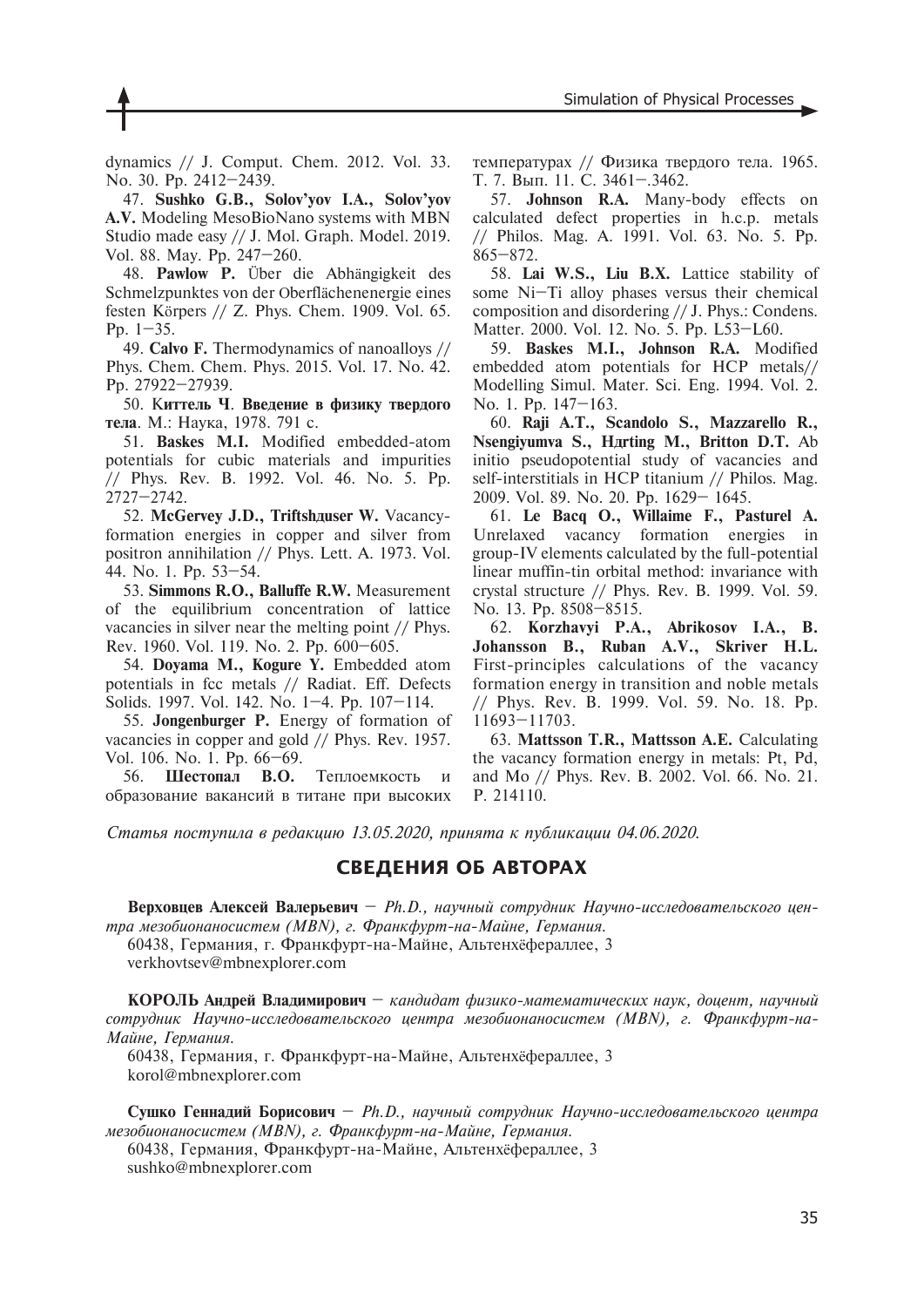dynamics // J. Comput. Chem. 2012. Vol. 33. No. 30. Pp. 2412–2439.

47. **Sushko G.B., Solov'yov I.A., Solov'yov A.V.** Modeling MesoBioNano systems with MBN Studio made easy // J. Mol. Graph. Model. 2019. Vol. 88. May. Pp. 247–260.

48. **Pawlow P.** Über die Abhängigkeit des Schmelzpunktes von der Oberflächenenergie eines festen Körpers // Z. Phys. Chem. 1909. Vol. 65. Pp. 1–35.

49. **Calvo F.** Thermodynamics of nanoalloys // Phys. Chem. Chem. Phys. 2015. Vol. 17. No. 42. Pp. 27922–27939.

50. К**иттелü Ч**. **Ввеäение в физику тверäого тела**. М.: Наука, 1978. 791 с.

51. **Baskes M.I.** Modified embedded-atom potentials for cubic materials and impurities // Phys. Rev. B. 1992. Vol. 46. No. 5. Pp. 2727–2742.

52. McGervey J.D., Triftshauser W. Vacancyformation energies in copper and silver from positron annihilation // Phys. Lett. A. 1973. Vol. 44. No. 1. Pp. 53–54.

53. **Simmons R.O., Balluffe R.W.** Measurement of the equilibrium concentration of lattice vacancies in silver near the melting point // Phys. Rev. 1960. Vol. 119. No. 2. Pp. 600–605.

54. **Doyama M., Kogure Y.** Embedded atom potentials in fcc metals // Radiat. Eff. Defects Solids. 1997. Vol. 142. No. 1–4. Pp. 107–114.

55. **Jongenburger P.** Energy of formation of vacancies in copper and gold // Phys. Rev. 1957. Vol. 106. No. 1. Pp. 66–69.

56. **Шестопал В.О.** Теплоемкость и образование вакансий в титане при высоких температурах // Физика твердого тела. 1965. Т. 7. Вып. 11. С. 3461–.3462.

57. **Johnson R.A.** Many-body effects on calculated defect properties in h.c.p. metals // Philos. Mag. A. 1991. Vol. 63. No. 5. Pp. 865–872.

58. **Lai W.S., Liu B.X.** Lattice stability of some Ni–Ti alloy phases versus their chemical composition and disordering // J. Phys.: Condens. Matter. 2000. Vol. 12. No. 5. Pp. L53–L60.

59. **Baskes M.I., Johnson R.A.** Modified embedded atom potentials for HCP metals// Modelling Simul. Mater. Sci. Eng. 1994. Vol. 2. No. 1. Pp. 147–163.

60. **Raji A.T., Scandolo S., Mazzarello R., Nsengiyumva S., Härting M., Britton D.T.** Ab initio pseudopotential study of vacancies and self-interstitials in HCP titanium // Philos. Mag. 2009. Vol. 89. No. 20. Pp. 1629– 1645.

61. **Le Bacq O., Willaime F., Pasturel A.** Unrelaxed vacancy formation energies in group-IV elements calculated by the full-potential linear muffin-tin orbital method: invariance with crystal structure // Phys. Rev. B. 1999. Vol. 59. No. 13. Pp. 8508–8515.

62. **Korzhavyi P.A., Abrikosov I.A., B. Johansson B., Ruban A.V., Skriver H.L.** First-principles calculations of the vacancy formation energy in transition and noble metals // Phys. Rev. B. 1999. Vol. 59. No. 18. Pp. 11693–11703.

63. **Mattsson T.R., Mattsson A.E.** Calculating the vacancy formation energy in metals: Pt, Pd, and Mo // Phys. Rev. B. 2002. Vol. 66. No. 21. P. 214110.

*Статья поступила в редакцию 13.05.2020, принята к публикации 04.06.2020.*

# **СВЕДЕНИЯ ОБ АВТОРАХ**

Верховцев Алексей Валерьевич - Ph.D., научный сотрудник Научно-исследовательского цен*тра мезобионаносистем (MBN), г. Франкфурт-на-Майне, Германия.* 

60438, Германия, г. Франкфурт-на-Майне, Альтенхёфераллее, 3 verkhovtsev@mbnexplorer.com

**КОРОЛЬ Анäрей Влаäимирович** – *кандидат физико-математических наук, доцент, научный сотрудник Научно-исследовательского центра мезобионаносистем (MBN), г. Франкфурт-на-Майне, Германия.* 

60438, Германия, г. Франкфурт-на-Майне, Альтенхёфераллее, 3 korol@mbnexplorer.com

**Сушко Геннаäий Борисович** – *Ph.D., научный сотрудник Научно-исследовательского центра мезобионаносистем (MBN), г. Франкфурт-на-Майне, Германия.* 

60438, Германия, Франкфурт-на-Майне, Альтенхёфераллее, 3 sushko@mbnexplorer.com